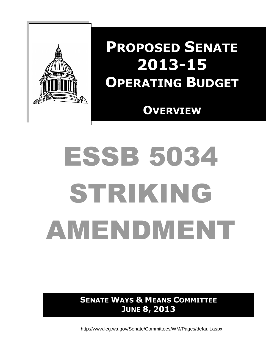

# **PROPOSED SENATE 2013-15 OPERATING BUDGET**

 **OVERVIEW**

# ESSB 5034 STRIKING AMENDMENT

**SENATE WAYS & MEANS COMMITTEE JUNE 8, 2013**

http://www.leg.wa.gov/Senate/Committees/WM/Pages/default.aspx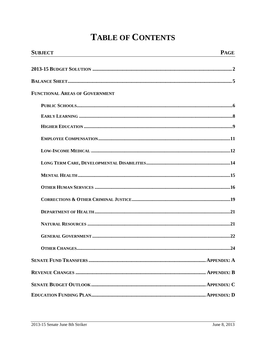# **TABLE OF CONTENTS**

| <b>SUBJECT</b>                        | <b>PAGE</b> |
|---------------------------------------|-------------|
|                                       |             |
|                                       |             |
| <b>FUNCTIONAL AREAS OF GOVERNMENT</b> |             |
|                                       |             |
|                                       |             |
|                                       |             |
|                                       |             |
|                                       |             |
|                                       |             |
|                                       |             |
|                                       |             |
|                                       |             |
|                                       |             |
|                                       |             |
|                                       |             |
|                                       |             |
|                                       |             |
|                                       |             |
|                                       |             |
|                                       |             |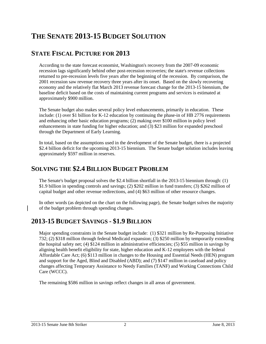# **THE SENATE 2013-15 BUDGET SOLUTION**

# **STATE FISCAL PICTURE FOR 2013**

According to the state forecast economist, Washington's recovery from the 2007-09 economic recession lags significantly behind other post-recession recoveries; the state's revenue collections returned to pre-recession levels five years after the beginning of the recession. By comparison, the 2001 recession saw revenue recovery three years after its onset. Based on the slowly recovering economy and the relatively flat March 2013 revenue forecast change for the 2013-15 biennium, the baseline deficit based on the costs of maintaining current programs and services is estimated at approximately \$900 million.

The Senate budget also makes several policy level enhancements, primarily in education. These include: (1) over \$1 billion for K-12 education by continuing the phase-in of HB 2776 requirements and enhancing other basic education programs; (2) making over \$100 million in policy level enhancements in state funding for higher education; and (3) \$23 million for expanded preschool through the Department of Early Learning.

In total, based on the assumptions used in the development of the Senate budget, there is a projected \$2.4 billion deficit for the upcoming 2013-15 biennium. The Senate budget solution includes leaving approximately \$597 million in reserves.

# **SOLVING THE \$2.4 BILLION BUDGET PROBLEM**

The Senate's budget proposal solves the \$2.4 billion shortfall in the 2013-15 biennium through: (1) \$1.9 billion in spending controls and savings; (2) \$202 million in fund transfers; (3) \$262 million of capital budget and other revenue redirections, and (4) \$63 million of other resource changes.

In other words (as depicted on the chart on the following page), the Senate budget solves the majority of the budget problem through spending changes.

# **2013-15 BUDGET SAVINGS - \$1.9 BILLION**

Major spending constraints in the Senate budget include: (1) \$321 million by Re-Purposing Initiative 732; (2) \$318 million through federal Medicaid expansion; (3) \$250 million by temporarily extending the hospital safety net; (4) \$124 million in administrative efficiencies; (5) \$55 million in savings by aligning health benefit eligibility for state, higher education and K-12 employees with the federal Affordable Care Act; (6) \$113 million in changes to the Housing and Essential Needs (HEN) program and support for the Aged, Blind and Disabled (ABD); and (7) \$147 million in caseload and policy changes affecting Temporary Assistance to Needy Families (TANF) and Working Connections Child Care (WCCC).

The remaining \$586 million in savings reflect changes in all areas of government.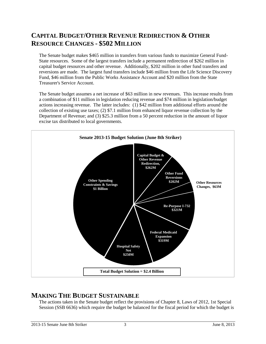# **CAPITAL BUDGET/OTHER REVENUE REDIRECTION & OTHER RESOURCE CHANGES - \$502 MILLION**

The Senate budget makes \$465 million in transfers from various funds to maximize General Fund-State resources. Some of the largest transfers include a permanent redirection of \$262 million in capital budget resources and other revenue. Additionally, \$202 million in other fund transfers and reversions are made. The largest fund transfers include \$46 million from the Life Science Discovery Fund, \$46 million from the Public Works Assistance Account and \$20 million from the State Treasurer's Service Account.

The Senate budget assumes a net increase of \$63 million in new revenues. This increase results from a combination of \$11 million in legislation reducing revenue and \$74 million in legislation/budget actions increasing revenue. The latter includes: (1) \$42 million from additional efforts around the collection of existing use taxes; (2) \$7.1 million from enhanced liquor revenue collection by the Department of Revenue; and (3) \$25.3 million from a 50 percent reduction in the amount of liquor excise tax distributed to local governments.



# **MAKING THE BUDGET SUSTAINABLE**

The actions taken in the Senate budget reflect the provisions of Chapter 8, Laws of 2012, 1st Special Session (SSB 6636) which require the budget be balanced for the fiscal period for which the budget is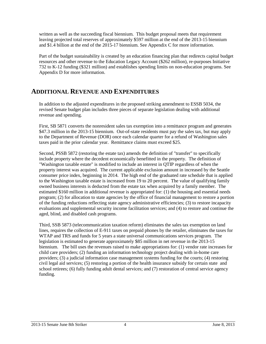written as well as the succeeding fiscal biennium. This budget proposal meets that requirement leaving projected total reserves of approximately \$597 million at the end of the 2013-15 biennium and \$1.4 billion at the end of the 2015-17 biennium. See Appendix C for more information.

Part of the budget sustainability is created by an education financing plan that redirects capital budget resources and other revenue to the Education Legacy Account (\$262 million), re-purposes Initiative 732 to K-12 funding (\$321 million) and establishes spending limits on non-education programs. See Appendix D for more information.

# **ADDITIONAL REVENUE AND EXPENDITURES**

In addition to the adjusted expenditures in the proposed striking amendment to ESSB 5034, the revised Senate budget plan includes three pieces of separate legislation dealing with additional revenue and spending.

First, SB 5871 converts the nonresident sales tax exemption into a remittance program and generates \$47.3 million in the 2013-15 biennium. Out-of-state residents must pay the sales tax, but may apply to the Department of Revenue (DOR) once each calendar quarter for a refund of Washington sales taxes paid in the prior calendar year. Remittance claims must exceed \$25.

Second, PSSB 5872 (restoring the estate tax) amends the definition of "transfer" to specifically include property where the decedent economically benefitted in the property. The definition of "Washington taxable estate" is modified to include an interest in QTIP regardless of when the property interest was acquired. The current applicable exclusion amount in increased by the Seattle consumer price index, beginning in 2014. The high end of the graduated rate schedule that is applied to the Washington taxable estate is increased from 19 to 20 percent. The value of qualifying family owned business interests is deducted from the estate tax when acquired by a family member. The estimated \$160 million in additional revenue is appropriated for: (1) the housing and essential needs program; (2) for allocation to state agencies by the office of financial management to restore a portion of the funding reductions reflecting state agency administrative efficiencies; (3) to restore incapacity evaluations and supplemental security income facilitation services; and (4) to restore and continue the aged, blind, and disabled cash programs.

Third, SSB 5873 (telecommunication taxation reform) eliminates the sales tax exemption on land lines, requires the collection of E-911 taxes on prepaid phones by the retailer, eliminates the taxes for WTAP and TRS and funds for 5 years a state universal communications services program. The legislation is estimated to generate approximately \$85 million in net revenue in the 2013-15 biennium. The bill uses the revenues raised to make appropriations for: (1) vendor rate increases for child care providers; (2) funding an information technology project dealing with in-home care providers; (3) a judicial information case management systems funding for the courts; (4) restoring civil legal aid services; (5) restoring a portion of the health insurance subsidy for certain state and school retirees; (6) fully funding adult dental services; and (7) restoration of central service agency funding.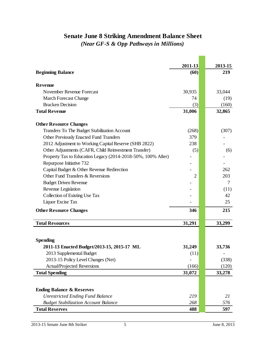# **Senate June 8 Striking Amendment Balance Sheet** *(Near GF-S & Opp Pathways in Millions)*

**Contract** 

|                                                              | 2011-13        | 2013-15 |
|--------------------------------------------------------------|----------------|---------|
| <b>Beginning Balance</b>                                     | (60)           | 219     |
| <b>Revenue</b>                                               |                |         |
| November Revenue Forecast                                    | 30,935         | 33,044  |
| <b>March Forecast Change</b>                                 | 74             | (19)    |
| <b>Bracken Decision</b>                                      | (3)            | (160)   |
| <b>Total Revenue</b>                                         | 31,006         | 32,865  |
| <b>Other Resource Changes</b>                                |                |         |
| Transfers To The Budget Stabilization Account                | (268)          | (307)   |
| <b>Other Previously Enacted Fund Transfers</b>               | 379            |         |
| 2012 Adjustment to Working Capital Reserve (SHB 2822)        | 238            |         |
| Other Adjustments (CAFR, Child Reinvestment Transfer)        | (5)            | (6)     |
| Property Tax to Education Legacy (2014-2018-50%, 100% After) |                |         |
| Repurpose Initiative 732                                     |                |         |
| Capital Budget & Other Revenue Redirection                   |                | 262     |
| Other Fund Transfers & Reversions                            | $\overline{2}$ | 203     |
| <b>Budget Driven Revenue</b>                                 |                | 7       |
| Revenue Legislation                                          |                | (11)    |
| Collection of Existing Use Tax                               |                | 42      |
| Liquor Excise Tax                                            |                | 25      |
| <b>Other Resource Changes</b>                                | 346            | 215     |
| <b>Total Resources</b>                                       |                |         |
|                                                              | 31,291         | 33,299  |
| <b>Spending</b>                                              |                |         |
| 2011-13 Enacted Budget/2013-15, 2015-17 ML                   | 31,249         | 33,736  |
| 2013 Supplemental Budget                                     | (11)           |         |
| 2013-15 Policy Level Changes (Net)                           |                | (338)   |
| <b>Actual/Projected Reversions</b>                           | (166)          | (120)   |
| <b>Total Spending</b>                                        | 31,072         | 33,278  |
|                                                              |                |         |
| <b>Ending Balance &amp; Reserves</b>                         |                |         |
| <b>Unrestricted Ending Fund Balance</b>                      | 219            | 21      |
| <b>Budget Stabilization Account Balance</b>                  | 268            | 576     |
| <b>Total Reserves</b>                                        | 488            | 597     |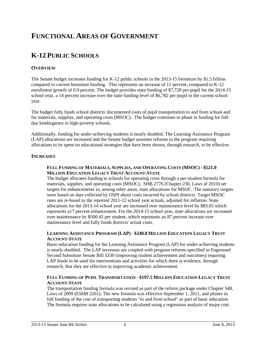# **FUNCTIONAL AREAS OF GOVERNMENT**

# **K-12 PUBLIC SCHOOLS**

#### **OVERVIEW**

The Senate budget increases funding for K-12 public schools in the 2013-15 biennium by \$1.5 billion compared to current biennium funding. This represents an increase of 11 percent, compared to K-12 enrollment growth of 0.9 percent. The budget provides state funding of \$7,728 per-pupil for the 2014-15 school year, a 14 percent increase over the state funding level of \$6,782 per-pupil in the current school year.

The budget fully funds school districts' documented costs of pupil transportation to and from school and for materials, supplies, and operating costs (MSOC). The budget continues to phase in funding for fullday kindergarten in high-poverty schools.

Additionally, funding for under-achieving students is nearly doubled. The Learning Assistance Program (LAP) allocations are increased and the Senate budget assumes reforms to the program requiring allocations to be spent on educational strategies that have been shown, through research, to be effective.

#### **INCREASES**

#### **FULL FUNDING OF MATERIALS, SUPPLIES, AND OPERATING COSTS (MSOC) - \$521.0 MILLION EDUCATION LEGACY TRUST ACCOUNT-STATE**

The budget allocates funding to schools for operating costs through a per-student formula for materials, supplies, and operating costs (MSOC). SHB 2776 (Chapter 236, Laws of 2010) set targets for enhancements to, among other areas, state allocations for MSOC. The statutory targets were based on data collected by OSPI about costs incurred by school districts. Target MSOC rates are re-based to the reported 2011-12 school year actuals, adjusted for inflation. State allocations for the 2013-14 school year are increased over maintenance level by \$83.65 which represents a17 percent enhancement. For the 2014-15 school year, state allocations are increased over maintenance by \$500.42 per student, which represents an 87 percent increase over maintenance level and fully funds districts' actual costs.

#### **LEARNING ASSISTANCE PROGRAM (LAP) - \$240.8 MILLION EDUCATION LEGACY TRUST ACCOUNT-STATE**

Basic-education funding for the Learning Assistance Program (LAP) for under-achieving students is nearly doubled. The LAP increases are coupled with program reforms specified in Engrossed Second Substitute Senate Bill 5330 (improving student achievement and outcomes) requiring LAP funds to be used for interventions and activities for which there is evidence, through research, that they are effective in improving academic achievement.

#### **FULL FUNDING OF PUPIL TRANSPORTATION - \$197.5 MILLION EDUCATION LEGACY TRUST ACCOUNT-STATE**

The transportation funding formula was revised as part of the reform package under Chapter 548, Laws of 2009 (ESHB 2261). The new formula was effective September 1, 2011, and phases in full funding of the cost of transporting students "to and from school" as part of basic education. The formula requires state allocations to be calculated using a regression analysis of major cost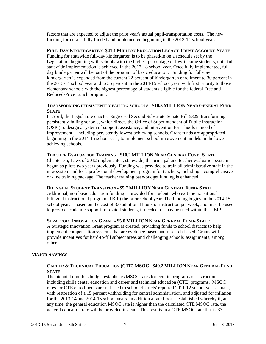factors that are expected to adjust the prior year's actual pupil-transportation costs. The new funding formula is fully funded and implemented beginning in the 2013-14 school year.

**FULL-DAY KINDERGARTEN- \$41.1 MILLION EDUCATION LEGACY TRUST ACCOUNT-STATE** Funding for statewide full-day kindergarten is to be phased-in on a schedule set by the Legislature, beginning with schools with the highest percentage of low-income students, until full statewide implementation is achieved in the 2017-18 school year. Once fully implemented, fullday kindergarten will be part of the program of basic education. Funding for full-day kindergarten is expanded from the current 22 percent of kindergarten enrollment to 30 percent in the 2013-14 school year and to 35 percent in the 2014-15 school year, with first priority to those elementary schools with the highest percentage of students eligible for the federal Free and Reduced-Price Lunch program.

#### **TRANSFORMING PERSISTENTLY FAILING SCHOOLS - \$10.3 MILLION NEAR GENERAL FUND-STATE**

In April, the Legislature enacted Engrossed Second Substitute Senate Bill 5329, transforming persistently-failing schools, which directs the Office of Superintendent of Public Instruction (OSPI) to design a system of support, assistance, and intervention for schools in need of improvement – including persistently lowest-achieving schools. Grant funds are appropriated, beginning in the 2014-15 school year, to implement school improvement models in the lowest achieving schools.

#### **TEACHER EVALUATION TRAINING - \$10.2 MILLION NEAR GENERAL FUND- STATE**

Chapter 35, Laws of 2012 implemented, statewide, the principal and teacher evaluation system begun as pilots two years previously. Funding was provided to train all administrative staff in the new system and for a professional development program for teachers, including a comprehensive on-line training package. The teacher training base-budget funding is enhanced.

#### **BILINGUAL STUDENT TRANSITION - \$5.7 MILLION NEAR GENERAL FUND- STATE**

Additional, non-basic education funding is provided for students who exit the transitional bilingual instructional program (TBIP) the prior school year. The funding begins in the 2014-15 school year, is based on the cost of 3.0 additional hours of instruction per week, and must be used to provide academic support for exited students, if needed, or may be used within the TBIP.

#### **STRATEGIC INNOVATION GRANT - \$5.0 MILLION NEAR GENERAL FUND- STATE**

A Strategic Innovation Grant program is created, providing funds to school districts to help implement compensation systems that are evidence-based and research-based. Grants will provide incentives for hard-to-fill subject areas and challenging schools' assignments, among others.

#### **MAJOR SAVINGS**

#### **CAREER & TECHNICAL EDUCATION (CTE) MSOC - \$49.2 MILLION NEAR GENERAL FUND-STATE**

The biennial omnibus budget establishes MSOC rates for certain programs of instruction including skills center education and career and technical education (CTE) programs. MSOC rates for CTE enrollments are re-based to school districts' reported 2011-12 school year actuals, with restoration of a 15 percent withholding for central administration, and adjusted for inflation for the 2013-14 and 2014-15 school years. In addition a rate floor is established whereby if, at any time, the general education MSOC rate is higher than the calculated CTE MSOC rate, the general education rate will be provided instead. This results in a CTE MSOC rate that is 33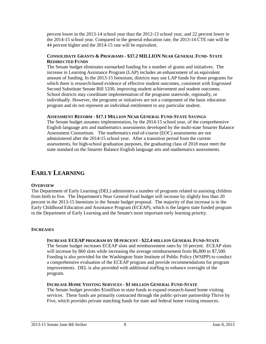percent lower in the 2013-14 school year than the 2012-13 school year, and 22 percent lower in the 2014-15 school year. Compared to the general education rate, the 2013-14 CTE rate will be 44 percent higher and the 2014-15 rate will be equivalent.

#### **CONSOLIDATE GRANTS & PROGRAMS - \$37.2 MILLION NEAR GENERAL FUND- STATE REDIRECTED FUNDS**

The Senate budget eliminates earmarked funding for a number of grants and initiatives. The increase in Learning Assistance Program (LAP) includes an enhancement of an equivalent amount of funding. In the 2013-15 biennium, districts may use LAP funds for those programs for which there is research-based evidence of effective student outcomes, consistent with Engrossed Second Substitute Senate Bill 5330, improving student achievement and student outcomes. School districts may coordinate implementation of the programs statewide, regionally, or individually. However, the programs or initiatives are not a component of the basic education program and do not represent an individual entitlement to any particular student.

#### **ASSESSMENT REFORM - \$17.1 MILLION NEAR GENERAL FUND-STATE SAVINGS**

The Senate budget assumes implementation, by the 2014-15 school year, of the comprehensive English language arts and mathematics assessments developed by the multi-state Smarter Balance Assessment Consortium. The mathematics end-of-course (EOC) assessments are not administered after the 2014-15 school year. After a transition period from the current assessments, for high-school graduation purposes, the graduating class of 2018 must meet the state standard on the Smarter Balance English language arts and mathematics assessments.

### **EARLY LEARNING**

#### **OVERVIEW**

The Department of Early Learning (DEL) administers a number of programs related to assisting children from birth to five. The Department's Near General Fund budget will increase by slightly less than 20 percent in the 2013-15 biennium in the Senate budget proposal. The majority of that increase is in the Early Childhood Education and Assistance Program (ECEAP), which is the largest state funded program in the Department of Early Learning and the Senate's most important early learning priority.

#### **INCREASES**

#### **INCREASE ECEAP PROGRAM BY 10 PERCENT - \$22.4 MILLION GENERAL FUND-STATE**

The Senate budget increases ECEAP slots and reimbursement rates by 10 percent. ECEAP slots will increase by 860 slots while increasing the average reimbursement from \$6,800 to \$7,500. Funding is also provided for the Washington State Institute of Public Policy (WSIPP) to conduct a comprehensive evaluation of the ECEAP program and provide recommendations for program improvements. DEL is also provided with additional staffing to enhance oversight of the program.

#### **INCREASE HOME VISITING SERVICES - \$1 MILLION GENERAL FUND-STATE**

The Senate budget provides \$1million in state funds to expand research-based home visiting services. These funds are primarily contracted through the public-private partnership Thrive by Five, which provides private matching funds for state and federal home visiting resources.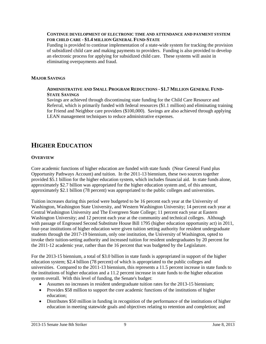#### **CONTINUE DEVELOPMENT OF ELECTRONIC TIME AND ATTENDANCE AND PAYMENT SYSTEM FOR CHILD CARE - \$1.4 MILLION GENERAL FUND-STATE**

Funding is provided to continue implementation of a state-wide system for tracking the provision of subsidized child care and making payments to providers. Funding is also provided to develop an electronic process for applying for subsidized child care. These systems will assist in eliminating overpayments and fraud.

#### **MAJOR SAVINGS**

#### **ADMINISTRATIVE AND SMALL PROGRAM REDUCTIONS - \$1.7 MILLION GENERAL FUND-STATE SAVINGS**

Savings are achieved through discontinuing state funding for the Child Care Resource and Referral, which is primarily funded with federal resources (\$1.1 million) and eliminating training for Friend and Neighbor care providers (\$100,000). Savings are also achieved through applying LEAN management techniques to reduce administrative expenses.

# **HIGHER EDUCATION**

#### **OVERVIEW**

Core academic functions of higher education are funded with state funds (Near General Fund plus Opportunity Pathways Account) and tuition. In the 2011-13 biennium, these two sources together provided \$5.1 billion for the higher education system, which includes financial aid. In state funds alone, approximately \$2.7 billion was appropriated for the higher education system and, of this amount, approximately \$2.1 billion (78 percent) was appropriated to the public colleges and universities.

Tuition increases during this period were budgeted to be 16 percent each year at the University of Washington, Washington State University, and Western Washington University; 14 percent each year at Central Washington University and The Evergreen State College; 11 percent each year at Eastern Washington University; and 12 percent each year at the community and technical colleges. Although with passage of Engrossed Second Substitute House Bill 1795 (higher education opportunity act) in 2011, four-year institutions of higher education were given tuition setting authority for resident undergraduate students through the 2017-19 biennium, only one institution, the University of Washington, opted to invoke their tuition-setting authority and increased tuition for resident undergraduates by 20 percent for the 2011-12 academic year, rather than the 16 percent that was budgeted by the Legislature.

For the 2013-15 biennium, a total of \$3.0 billion in state funds is appropriated in support of the higher education system; \$2.4 billion (78 percent) of which is appropriated to the public colleges and universities. Compared to the 2011-13 biennium, this represents a 11.5 percent increase in state funds to the institutions of higher education and a 11.2 percent increase in state funds to the higher education system overall. With this level of funding, the Senate's budget:

- Assumes no increases in resident undergraduate tuition rates for the 2013-15 biennium;
- Provides \$58 million to support the core academic functions of the institutions of higher education;
- Distributes \$50 million in funding in recognition of the performance of the institutions of higher education in meeting statewide goals and objectives relating to retention and completion; and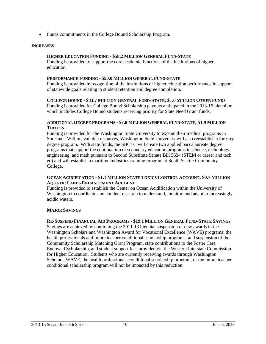Funds commitments in the College Bound Scholarship Program.

#### **INCREASES**

#### **HIGHER EDUCATION FUNDING - \$58.2 MILLION GENERAL FUND-STATE**

Funding is provided to support the core academic functions of the institutions of higher education.

#### **PERFORMANCE FUNDING - \$50.0 MILLION GENERAL FUND-STATE**

Funding is provided in recognition of the institutions of higher education performance in support of statewide goals relating to student retention and degree completion.

#### COLLEGE BOUND - \$33.7 MILLION GENERAL FUND-STATE; \$1.0 MILLION OTHER FUNDS

Funding is provided for College Bound Scholarship payouts anticipated in the 2013-15 biennium, which includes College Bound students receiving priority for State Need Grant funds.

#### **ADDITIONAL DEGREE PROGRAMS - \$7.8 MILLION GENERAL FUND-STATE; \$1.9 MILLION TUITION**

Funding is provided for the Washington State University to expand their medical programs in Spokane. Within available resources, Washington State University will also reestablish a forestry degree program. With state funds, the SBCTC will create two applied baccalaureate degree programs that support the continuation of secondary education programs in science, technology, engineering, and math pursuant to Second Substitute Senate Bill 5624 (STEM or career and tech ed) and will establish a maritime industries training program at South Seattle Community College.

#### **OCEAN ACIDIFICATION - \$1.1 MILLION STATE TOXICS CONTROL ACCOUNT; \$0.7 MILLION AQUATIC LANDS ENHANCEMENT ACCOUNT**

Funding is provided to establish the Center on Ocean Acidification within the University of Washington to coordinate and conduct research to understand, monitor, and adapt to increasingly acidic waters.

#### **MAJOR SAVINGS**

#### RE-SUSPEND FINANCIAL AID PROGRAMS - \$19.1 MILLION GENERAL FUND-STATE SAVINGS

Savings are achieved by continuing the 2011-13 biennial suspension of new awards in the Washington Scholars and Washington Award for Vocational Excellence (WAVE) programs; the health professionals and future teacher conditional scholarship programs; and suspension of the Community Scholarship Matching Grant Program, state contributions to the Foster Care Endowed Scholarship, and student support fees provided via the Western Interstate Commission for Higher Education. Students who are currently receiving awards through Washington Scholars, WAVE, the health professionals conditional scholarship program, or the future teacher conditional scholarship program will not be impacted by this reduction.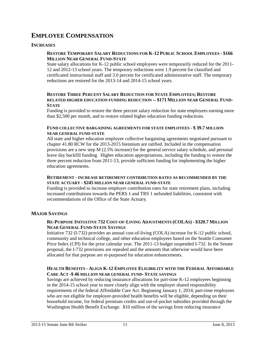# **EMPLOYEE COMPENSATION**

#### **INCREASES**

#### **RESTORE TEMPORARY SALARY REDUCTIONS FOR K-12 PUBLIC SCHOOL EMPLOYEES - \$166 MILLION NEAR GENERAL FUND-STATE**

State salary allocations for K-12 public school employees were temporarily reduced for the 2011- 12 and 2012-13 school years. The temporary reductions were 1.9 percent for classified and certificated instructional staff and 3.0 percent for certificated administrative staff. The temporary reductions are restored for the 2013-14 and 2014-15 school years.

#### **RESTORE THREE PERCENT SALARY REDUCTION FOR STATE EMPLOYEES; RESTORE RELATED HIGHER EDUCATION FUNDING REDUCTION -- \$171 MILLION NEAR GENERAL FUND-STATE**

Funding is provided to restore the three percent salary reduction for state employees earning more than \$2,500 per month, and to restore related higher education funding reductions.

#### **FUND COLLECTIVE BARGAINING AGREEMENTS FOR STATE EMPLOYEES - \$ 39.7 MILLION NEAR GENERAL FUND-STATE**

All state and higher education employee collective bargaining agreements negotiated pursuant to chapter 41.80 RCW for the 2013-2015 biennium are ratified. Included in the compensation provisions are a new step M (2.5% increase) for the general service salary schedule, and personal leave day backfill funding. Higher education appropriations, including the funding to restore the three percent reduction from 2011-13, provide sufficient funding for implementing the higher education agreements.

#### **RETIREMENT - INCREASE RETIREMENT CONTRIBUTION RATES AS RECOMMENDED BY THE STATE ACTUARY - \$245 MILLION NEAR GENERAL FUND-STATE**

Funding is provided to increase employer contribution rates for state retirement plans, including increased contributions towards the PERS 1 and TRS 1 unfunded liabilities, consistent with recommendations of the Office of the State Actuary.

#### **MAJOR SAVINGS**

#### RE-PURPOSE INITIATIVE 732 COST-OF-LIVING ADJUSTMENTS (COLAS) - \$320.7 MILLION **NEAR GENERAL FUND-STATE SAVINGS**

Initiative 732 (I-732) provides an annual cost-of-living (COLA) increase for K-12 public school, community and technical college, and other education employees based on the Seattle Consumer Price Index (CPI) for the prior calendar year. The 2011-13 budget suspended I-732. In the Senate proposal, the I-732 provisions are repealed and the amounts that otherwise would have been allocated for that purpose are re-purposed for education enhancements.

#### **HEALTH BENEFITS - ALIGN K-12 EMPLOYEE ELIGIBILITY WITH THE FEDERAL AFFORDABLE CARE ACT -\$ 46 MILLION NEAR GENERAL FUND- STATE SAVINGS**

Savings are achieved by reducing insurance allocations for part-time K-12 employees beginning in the 2014-15 school year to more closely align with the employer shared responsibility requirements of the federal Affordable Care Act. Beginning January 1, 2014, part-time employees who are not eligible for employer-provided health benefits will be eligible, depending on their household income, for federal premium credits and out-of-pocket subsidies provided through the Washington Health Benefit Exchange. \$10 million of the savings from reducing insurance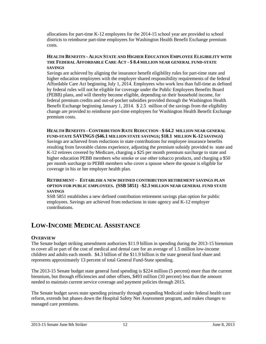allocations for part-time K-12 employees for the 2014-15 school year are provided to school districts to reimburse part-time employees for Washington Health Benefit Exchange premium costs.

#### **HEALTH BENEFITS - ALIGN STATE AND HIGHER EDUCATION EMPLOYEE ELIGIBILITY WITH THE FEDERAL AFFORDABLE CARE ACT - \$ 8.4 MILLION NEAR GENERAL FUND-STATE SAVINGS**

Savings are achieved by aligning the insurance benefit eligibility rules for part-time state and higher education employees with the employer shared responsibility requirements of the federal Affordable Care Act beginning July 1, 2014. Employees who work less than full-time as defined by federal rules will not be eligible for coverage under the Public Employees Benefits Board (PEBB) plans, and will thereby become eligible, depending on their household income, for federal premium credits and out-of-pocket subsidies provided through the Washington Health Benefit Exchange beginning January 1, 2014. \$ 2.5 million of the savings from the eligibility change are provided to reimburse part-time employees for Washington Health Benefit Exchange premium costs.

**HEALTH BENEFITS - CONTRIBUTION RATE REDUCTION - \$ 64.2 MILLION NEAR GENERAL FUND-STATE SAVINGS (\$46.1 MILLION STATE SAVINGS; \$18.1 MILLION K-12 SAVINGS)** Savings are achieved from reductions in state contributions for employee insurance benefits resulting from favorable claims experience, adjusting the premium subsidy provided to state and K-12 retirees covered by Medicare, charging a \$25 per month premium surcharge to state and higher education PEBB members who smoke or use other tobacco products, and charging a \$50 per month surcharge to PEBB members who cover a spouse where the spouse is eligible for coverage in his or her employer health plan.

#### **RETIREMENT - ESTABLISH A NEW DEFINED CONTRIBUTION RETIREMENT SAVINGS PLAN OPTION FOR PUBLIC EMPLOYEES. (SSB 5851) -\$2.3 MILLION NEAR GENERAL FUND STATE SAVINGS**

SSB 5851 establishes a new defined contribution retirement savings plan option for public employees. Savings are achieved from reductions in state agency and K-12 employer contributions.

# **LOW-INCOME MEDICAL ASSISTANCE**

#### **OVERVIEW**

The Senate budget striking amendment authorizes \$11.9 billion in spending during the 2013-15 biennium to cover all or part of the cost of medical and dental care for an average of 1.5 million low-income children and adults each month. \$4.3 billion of the \$11.9 billion is the state general fund share and represents approximately 13 percent of total General Fund-State spending.

The 2013-15 Senate budget state general fund spending is \$224 million (5 percent) more than the current biennium, but through efficiencies and other offsets, \$493 million (10 percent) less than the amount needed to maintain current service coverage and payment policies through 2015.

The Senate budget saves state spending primarily through expanding Medicaid under federal health care reform, extends but phases down the Hospital Safety Net Assessment program, and makes changes to managed care premiums.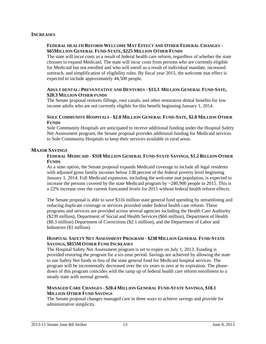#### **INCREASES**

#### **FEDERAL HEALTH REFORM WELCOME MAT EFFECT AND OTHER FEDERAL CHANGES - \$65MILLION GENERAL FUND-STATE, \$225 MILLION OTHER FUNDS**

The state will incur costs as a result of federal health care reform, regardless of whether the state chooses to expand Medicaid. The state will incur costs from persons who are currently eligible for Medicaid but not enrolled and who will enroll as a result of individual mandate, increased outreach, and simplification of eligibility rules. By fiscal year 2015, the welcome mat effect is expected to include approximately 44,500 people.

#### **ADULT DENTAL: PREVENTATIVE AND DENTURES - \$13.3 MILLION GENERAL FUND-SATE, \$28.3 MILLION OTHER FUNDS**

The Senate proposal restores fillings, root canals, and other restorative dental benefits for low income adults who are not currently eligible for this benefit beginning January 1, 2014.

#### SOLE COMMUNITY HOSPITALS - \$2.0 MILLION GENERAL FUND-SATE, \$2.0 MILLION OTHER **FUNDS**

Sole Community Hospitals are anticipated to receive additional funding under the Hospital Safety Net Assessment program, the Senate proposal provides additional funding for Medicaid services to Sole Community Hospitals to keep their services available in rural areas.

#### **MAJOR SAVINGS**

#### FEDERAL MEDICAID - \$318 MILLION GENERAL FUND-STATE SAVINGS, \$1.2 BILLION OTHER **FUNDS**

As a state option, the Senate proposal expands Medicaid coverage to include all legal residents with adjusted gross family incomes below 138 percent of the federal poverty level beginning January 1, 2014. Full Medicaid expansion, including the welcome mat population, is expected to increase the persons covered by the state Medicaid program by  $\sim$  280,900 people in 2015. This is a 22% increase over the current forecasted levels for 2015 without federal health reform effects.

The Senate proposal is able to save \$316 million state general fund spending by streamlining and reducing duplicate coverage or services provided under federal health care reform. These programs and services are provided across several agencies including the Health Care Authority (\$239 million), Department of Social and Health Services (\$66 million), Department of Health (\$8.3 million) Department of Corrections (\$2.1 million), and the Department of Labor and Industries (\$1 million).

#### **HOSPITAL SAFETY NET ASSESSMENT PROGRAM - \$238 MILLION GENERAL FUND-STATE SAVINGS, \$815M OTHER FUND INCREASES**

The Hospital Safety Net Assessment program is set to expire on July 1, 2013. Funding is provided restoring the program for a six-year period. Savings are achieved by allowing the state to use Safety Net funds in lieu of the state general fund for Medicaid hospital services. The program will be incrementally decreased over the six years to zero at its expiration. The phasedown of this program coincides with the ramp up of federal health care reform enrollment to a steady state with normal growth.

#### **MANAGED CARE CHANGES - \$20.4 MILLION GENERAL FUND-STATE SAVINGS, \$18.1 MILLION OTHER FUND SAVINGS**

The Senate proposal changes managed care in three ways to achieve savings and provide for administrative simplicity.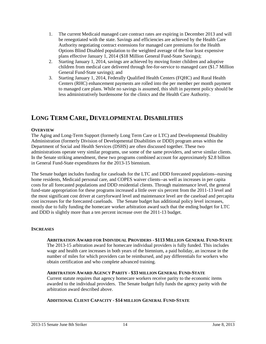- 1. The current Medicaid managed care contract rates are expiring in December 2013 and will be renegotiated with the state. Savings and efficiencies are achieved by the Health Care Authority negotiating contract extensions for managed care premiums for the Health Options Blind Disabled population to the weighted average of the four least expensive plans effective January 1, 2014 (\$18 Million General Fund-State Savings);
- 2. Starting January 1, 2014, savings are achieved by moving foster children and adoptive children from medical care delivered through fee-for-service to managed care (\$1.7 Million General Fund-State savings); and
- 3. Starting January 1, 2014, Federally Qualified Health Centers (FQHC) and Rural Health Centers (RHC) enhancement payments are rolled into the per member per month payment to managed care plans. While no savings is assumed, this shift in payment policy should be less administratively burdensome for the clinics and the Health Care Authority.

# **LONG TERM CARE, DEVELOPMENTAL DISABILITIES**

#### **OVERVIEW**

The Aging and Long-Term Support (formerly Long Term Care or LTC) and Developmental Disability Administration (formerly Division of Developmental Disabilities or DDD) program areas within the Department of Social and Health Services (DSHS) are often discussed together. These two administrations operate very similar programs, use some of the same providers, and serve similar clients. In the Senate striking amendment, these two programs combined account for approximately \$2.8 billion in General Fund-State expenditures for the 2013-15 biennium.

The Senate budget includes funding for caseloads for the LTC and DDD forecasted populations--nursing home residents, Medicaid personal care, and COPES waiver clients--as well as increases in per capita costs for all forecasted populations and DDD residential clients. Through maintenance level, the general fund-state appropriation for these programs increased a little over six percent from the 2011-13 level and the most significant cost driver at carryforward level and maintenance level are the caseload and percapita cost increases for the forecasted caseloads. The Senate budget has additional policy level increases, mostly due to fully funding the homecare worker arbitration award such that the ending budget for LTC and DDD is slightly more than a ten percent increase over the 2011-13 budget.

#### **INCREASES**

#### **ARBITRATION AWARD FOR INDIVIDUAL PROVIDERS - \$113 MILLION GENERAL FUND-STATE**

The 2013-15 arbitration award for homecare individual providers is fully funded. This includes wage and health care increases in both years of the biennium, a paid holiday, an increase in the number of miles for which providers can be reimbursed, and pay differentials for workers who obtain certification and who complete advanced training.

#### **ARBITRATION AWARD AGENCY PARITY - \$33 MILLION GENERAL FUND-STATE**

Current statute requires that agency homecare workers receive parity to the economic items awarded to the individual providers. The Senate budget fully funds the agency parity with the arbitration award described above.

#### **ADDITIONAL CLIENT CAPACITY - \$14 MILLION GENERAL FUND-STATE**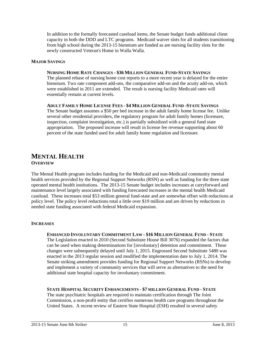In addition to the formally forecasted caseload items, the Senate budget funds additional client capacity in both the DDD and LTC programs. Medicaid waiver slots for all students transitioning from high school during the 2013-15 biennium are funded as are nursing facility slots for the newly constructed Veteran's Home in Walla Walla.

#### **MAJOR SAVINGS**

#### **NURSING HOME RATE CHANGES - \$36 MILLION GENERAL FUND-STATE SAVINGS**

The planned rebase of nursing home cost reports to a more recent year is delayed for the entire biennium. Two rate component add-ons, the comparative add-on and the acuity add-on, which were established in 2011 are extended. The result is nursing facility Medicaid rates will essentially remain at current levels.

#### **ADULT FAMILY HOME LICENSE FEES - \$4 MILLION GENERAL FUND -STATE SAVINGS**

The Senate budget assumes a \$50 per bed increase in the adult family home license fee. Unlike several other residential providers, the regulatory program for adult family homes (licensure, inspection, complaint investigation, etc.) is partially subsidized with a general fund state appropriation. The proposed increase will result in license fee revenue supporting about 60 percent of the state funded used for adult family home regulation and licensure.

#### **MENTAL HEALTH OVERVIEW**

The Mental Health program includes funding for the Medicaid and non-Medicaid community mental health services provided by the Regional Support Networks (RSN) as well as funding for the three state operated mental health institutions. The 2013-15 Senate budget includes increases at carryforward and maintenance level largely associated with funding forecasted increases in the mental health Medicaid caseload. These increases total \$53 million general fund-state and are somewhat offset with reductions at policy level. The policy level reductions total a little over \$19 million and are driven by reductions in needed state funding associated with federal Medicaid expansion.

#### **INCREASES**

#### **ENHANCED INVOLUNTARY COMMITMENT LAW - \$16 MILLION GENERAL FUND - STATE**

The Legislation enacted in 2010 (Second Substitute House Bill 3076) expanded the factors that can be used when making determinations for [involuntary] detention and commitment. These changes were subsequently delayed until July 1, 2015. Engrossed Second Substitute 5480 was enacted in the 2013 regular session and modified the implementation date to July 1, 2014. The Senate striking amendment provides funding for Regional Support Networks (RSNs) to develop and implement a variety of community services that will serve as alternatives to the need for additional state hospital capacity for involuntary commitment.

#### **STATE HOSPITAL SECURITY ENHANCEMENTS - \$7 MILLION GENERAL FUND - STATE**

The state psychiatric hospitals are required to maintain certification through The Joint Commission, a non-profit entity that certifies numerous health care programs throughout the United States. A recent review of Eastern State Hospital (ESH) resulted in several safety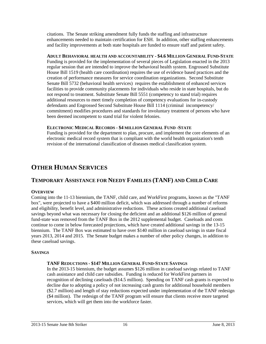citations. The Senate striking amendment fully funds the staffing and infrastructure enhancements needed to maintain certification for ESH. In addition, other staffing enhancements and facility improvements at both state hospitals are funded to ensure staff and patient safety.

**ADULT BEHAVIORAL HEALTH AND ACCOUNTABILITY - \$4.6 MILLION GENERAL FUND-STATE** Funding is provided for the implementation of several pieces of Legislation enacted in the 2013 regular session that are intended to improve the behavioral health system. Engrossed Substitute House Bill 1519 (health care coordination) requires the use of evidence based practices and the creation of performance measures for service coordination organizations. Second Substitute Senate Bill 5732 (behavioral health services) requires the establishment of enhanced services facilities to provide community placements for individuals who reside in state hospitals, but do not respond to treatment. Substitute Senate Bill 5551 (competency to stand trial) requires additional resources to meet timely completion of competency evaluations for in-custody defendants and Engrossed Second Substitute House Bill 1114 (criminal incompetency/ commitment) modifies procedures and standards for involuntary treatment of persons who have been deemed incompetent to stand trial for violent felonies.

#### **ELECTRONIC MEDICAL RECORDS - \$4 MILLION GENERAL FUND -STATE**

Funding is provided for the department to plan, procure, and implement the core elements of an electronic medical record system that is compliant with the world health organization's tenth revision of the international classification of diseases medical classification system.

# **OTHER HUMAN SERVICES**

### **TEMPORARY ASSISTANCE FOR NEEDY FAMILIES (TANF) AND CHILD CARE**

#### **OVERVIEW**

Coming into the 11-13 biennium, the TANF, child care, and WorkFirst programs, known as the "TANF box", were projected to have a \$400 million deficit, which was addressed through a number of reforms and eligibility, benefit level, and administrative reductions. These actions created additional caseload savings beyond what was necessary for closing the deficient and an additional \$126 million of general fund-state was removed from the TANF Box in the 2012 supplemental budget. Caseloads and costs continue to come in below forecasted projections, which have created additional savings in the 13-15 biennium. The TANF Box was estimated to have over \$140 million in caseload savings in state fiscal years 2013, 2014 and 2015. The Senate budget makes a number of other policy changes, in addition to these caseload savings.

#### **SAVINGS**

#### **TANF REDUCTIONS - \$147 MILLION GENERAL FUND-STATE SAVINGS**

In the 2013-15 biennium, the budget assumes \$126 million in caseload savings related to TANF cash assistance and child care subsidies. Funding is reduced for WorkFirst partners in recognition of declining caseloads (\$14.5 million). Spending on TANF cash grants is expected to decline due to adopting a policy of not increasing cash grants for additional household members (\$2.7 million) and length of stay reductions expected under implementation of the TANF redesign (\$4 million). The redesign of the TANF program will ensure that clients receive more targeted services, which will get them into the workforce faster.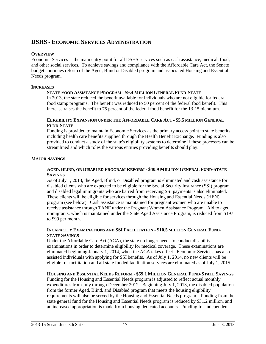#### **DSHS - ECONOMIC SERVICES ADMINISTRATION**

#### **OVERVIEW**

Economic Services is the main entry point for all DSHS services such as cash assistance, medical, food, and other social services. To achieve savings and compliance with the Affordable Care Act, the Senate budget continues reform of the Aged, Blind or Disabled program and associated Housing and Essential Needs program.

#### **INCREASES**

#### **STATE FOOD ASSISTANCE PROGRAM - \$9.4 MILLION GENERAL FUND-STATE**

In 2013, the state reduced the benefit available for individuals who are not eligible for federal food stamp programs. The benefit was reduced to 50 percent of the federal food benefit. This increase raises the benefit to 75 percent of the federal food benefit for the 13-15 biennium.

#### **ELIGIBILITY EXPANSION UNDER THE AFFORDABLE CARE ACT - \$5.5 MILLION GENERAL FUND-STATE**

Funding is provided to maintain Economic Services as the primary access point to state benefits including health care benefits supplied through the Health Benefit Exchange. Funding is also provided to conduct a study of the state's eligibility systems to determine if these processes can be streamlined and which roles the various entities providing benefits should play.

#### **MAJOR SAVINGS**

#### AGED, BLIND, OR DISABLED PROGRAM REFORM - \$40.9 MILLION GENERAL FUND-STATE **SAVINGS**

As of July 1, 2013, the Aged, Blind, or Disabled program is eliminated and cash assistance for disabled clients who are expected to be eligible for the Social Security Insurance (SSI) program and disabled legal immigrants who are barred from receiving SSI payments is also eliminated. These clients will be eligible for services through the Housing and Essential Needs (HEN) program (see below). Cash assistance is maintained for pregnant women who are unable to receive assistance through TANF under the Pregnant Women Assistance Program. Aid to aged immigrants, which is maintained under the State Aged Assistance Program, is reduced from \$197 to \$99 per month.

#### **INCAPACITY EXAMINATIONS AND SSI FACILITATION - \$10.5 MILLION GENERAL FUND-STATE SAVINGS**

Under the Affordable Care Act (ACA), the state no longer needs to conduct disability examinations in order to determine eligibility for medical coverage. These examinations are eliminated beginning January 1, 2014, when the ACA takes effect. Economic Services has also assisted individuals with applying for SSI benefits. As of July 1, 2014, no new clients will be eligible for facilitation and all state funded facilitation services are eliminated as of July 1, 2015.

#### **HOUSING AND ESSENTIAL NEEDS REFORM - \$59.1 MILLION GENERAL FUND-STATE SAVINGS**

Funding for the Housing and Essential Needs program is adjusted to reflect actual monthly expenditures from July through December 2012. Beginning July 1, 2013, the disabled population from the former Aged, Blind, and Disabled program that meets the housing eligibility requirements will also be served by the Housing and Essential Needs program. Funding from the state general fund for the Housing and Essential Needs program is reduced by \$31.2 million, and an increased appropriation is made from housing dedicated accounts. Funding for Independent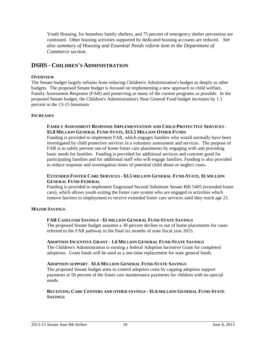Youth Housing, for homeless family shelters, and 75 percent of emergency shelter prevention are continued. Other housing activities supported by dedicated housing accounts are reduced. *See also summary of Housing and Essential Needs reform item in the Department of Commerce section.*

#### **DSHS - CHILDREN'S ADMINISTRATION**

#### **OVERVIEW**

The Senate budget largely refrains from reducing Children's Administration's budget as deeply as other budgets. The proposed Senate budget is focused on implementing a new approach to child welfare, Family Assessment Response (FAR) and preserving as many of the current programs as possible. In the proposed Senate budget, the Children's Administration's Near General Fund budget increases by 1.1 percent in the 13-15 biennium.

#### **INCREASES**

#### **FAMILY ASSESSMENT RESPONSE IMPLEMENTATION AND CHILD PROTECTIVE SERVICES - \$5.8 MILLION GENERAL FUND-STATE, \$13.5 MILLION OTHER FUNDS**

Funding is provided to implement FAR, which engages families who would normally have been investigated by child protective services in a voluntary assessment and services. The purpose of FAR is to safely prevent out-of home foster care placements by engaging with and providing basic needs for families. Funding is provided for additional services and concrete good for participating families and for additional staff who will engage families. Funding is also provided to reduce response and investigation times of potential child abuse or neglect cases.

#### **EXTENDED FOSTER CARE SERVICES - \$3.5 MILLION GENERAL FUND-STATE, \$1 MILLION GENERAL FUND-FEDERAL**

Funding is provided to implement Engrossed Second Substitute Senate Bill 5405 (extended foster care), which allows youth exiting the foster care system who are engaged in activities which remove barriers to employment to receive extended foster care services until they reach age 21.

#### **MAJOR SAVINGS**

#### **FAR CASELOAD SAVINGS - \$1 MILLION GENERAL FUND-STATE SAVINGS**

The proposed Senate budget assumes a 30 percent decline in out of home placements for cases referred to the FAR pathway in the final six months of state fiscal year 2015.

#### **ADOPTION INCENTIVE GRANT - 1.6 MILLION GENERAL FUND-STATE SAVINGS**

The Children's Administration is earning a federal Adoption Incentive Grant for completed adoptions. Grant funds will be used as a one-time replacement for state general funds.

#### **ADOPTION SUPPORT - \$1.6 MILLION GENERAL FUND-STATE SAVINGS**

The proposed Senate budget aims to control adoption costs by capping adoption support payments at 50 percent of the foster care maintenance payments for children with no special needs.

#### **RECEIVING CARE CENTERS AND OTHER SAVINGS - \$1.6 MILLION GENERAL FUND-STATE SAVINGS**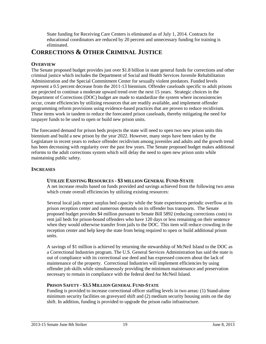State funding for Receiving Care Centers is eliminated as of July 1, 2014. Contracts for educational coordinators are reduced by 20 percent and unnecessary funding for training is eliminated.

# **CORRECTIONS & OTHER CRIMINAL JUSTICE**

#### **OVERVIEW**

The Senate proposed budget provides just over \$1.8 billion in state general funds for corrections and other criminal justice which includes the Department of Social and Health Services Juvenile Rehabilitation Administration and the Special Commitment Center for sexually violent predators. Funded levels represent a 0.5 percent decrease from the 2011-13 biennium. Offender caseloads specific to adult prisons are projected to continue a moderate upward trend over the next 15 years. Strategic choices in the Department of Corrections (DOC) budget are made to standardize the system where inconsistencies occur, create efficiencies by utilizing resources that are readily available, and implement offender programming reform provisions using evidence-based practices that are proven to reduce recidivism. These items work in tandem to reduce the forecasted prison caseloads, thereby mitigating the need for taxpayer funds to be used to open or build new prison units.

The forecasted demand for prison beds projects the state will need to open two new prison units this biennium and build a new prison by the year 2022. However, many steps have been taken by the Legislature in recent years to reduce offender recidivism among juveniles and adults and the growth trend has been decreasing with regularity over the past few years. The Senate proposed budget makes additional reforms to the adult corrections system which will delay the need to open new prison units while maintaining public safety.

#### **INCREASES**

#### **UTILIZE EXISTING RESOURCES - \$3 MILLION GENERAL FUND-STATE**

A net increase results based on funds provided and savings achieved from the following two areas which create overall efficiencies by utilizing existing resources:

Several local jails report surplus bed capacity while the State experiences periodic overflow at its prison reception center and numerous demands on its offender bus transports. The Senate proposed budget provides \$4 million pursuant to Senate Bill 5892 (reducing corrections costs) to rent jail beds for prison-bound offenders who have 120 days or less remaining on their sentence when they would otherwise transfer from jails to the DOC. This item will reduce crowding in the reception center and help keep the state from being required to open or build additional prison units.

A savings of \$1 million is achieved by returning the stewardship of McNeil Island to the DOC as a Correctional Industries program. The U.S. General Services Administration has said the state is out of compliance with its correctional use deed and has expressed concern about the lack of maintenance of the property. Correctional Industries will implement efficiencies by using offender job skills while simultaneously providing the minimum maintenance and preservation necessary to remain in compliance with the federal deed for McNeil Island.

#### **PRISON SAFETY - \$3.5 MILLION GENERAL FUND-STATE**

Funding is provided to increase correctional officer staffing levels in two areas: (1) Stand-alone minimum security facilities on graveyard shift and (2) medium security housing units on the day shift. In addition, funding is provided to upgrade the prison radio infrastructure.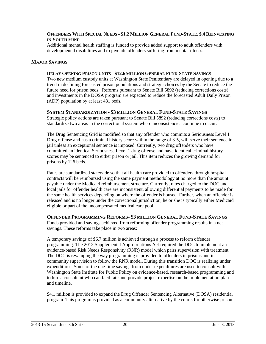#### OFFENDERS WITH SPECIAL NEEDS - \$1.2 MILLION GENERAL FUND-STATE, \$.4 REINVESTING **IN YOUTH FUND**

Additional mental health staffing is funded to provide added support to adult offenders with developmental disabilities and to juvenile offenders suffering from mental illness.

#### **MAJOR SAVINGS**

#### **DELAY OPENING PRISON UNITS - \$12.6 MILLION GENERAL FUND-STATE SAVINGS**

Two new medium custody units at Washington State Penitentiary are delayed in opening due to a trend in declining forecasted prison populations and strategic choices by the Senate to reduce the future need for prison beds. Reforms pursuant to Senate Bill 5892 (reducing corrections costs) and investments in the DOSA program are expected to reduce the forecasted Adult Daily Prison (ADP) population by at least 481 beds.

#### **SYSTEM STANDARDIZATION - \$3 MILLION GENERAL FUND-STATE SAVINGS**

Strategic policy actions are taken pursuant to Senate Bill 5892 (reducing corrections costs) to standardize two areas in the correctional system where inconsistencies continue to occur:

The Drug Sentencing Grid is modified so that any offender who commits a Seriousness Level 1 Drug offense and has a criminal history score within the range of 3-5, will serve their sentence in jail unless an exceptional sentence is imposed. Currently, two drug offenders who have committed an identical Seriousness Level 1 drug offense and have identical criminal history scores may be sentenced to either prison or jail. This item reduces the growing demand for prisons by 126 beds.

Rates are standardized statewide so that all health care provided to offenders through hospital contracts will be reimbursed using the same payment methodology at no more than the amount payable under the Medicaid reimbursement structure. Currently, rates charged to the DOC and local jails for offender health care are inconsistent, allowing differential payments to be made for the same health services depending on where the offender is housed. Further, when an offender is released and is no longer under the correctional jurisdiction, he or she is typically either Medicaid eligible or part of the uncompensated medical care pool.

#### **OFFENDER PROGRAMMING REFORMS- \$3 MILLION GENERAL FUND-STATE SAVINGS**

Funds provided and savings achieved from reforming offender programming results in a net savings. These reforms take place in two areas:

A temporary savings of \$6.7 million is achieved through a process to reform offender programming. The 2012 Supplemental Appropriations Act required the DOC to implement an evidence-based Risk Needs Responsivity (RNR) model which pairs supervision with treatment. The DOC is revamping the way programming is provided to offenders in prisons and in community supervision to follow the RNR model. During this transition DOC is realizing under expenditures. Some of the one-time savings from under expenditures are used to consult with Washington State Institute for Public Policy on evidence-based, research-based programming and to hire a consultant who can facilitate and provide project expertise on the implementation plan and timeline.

\$4.1 million is provided to expand the Drug Offender Sentencing Alternative (DOSA) residential program. This program is provided as a community alternative by the courts for otherwise prison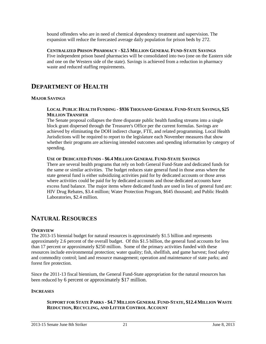bound offenders who are in need of chemical dependency treatment and supervision. The expansion will reduce the forecasted average daily population for prison beds by 272.

**CENTRALIZED PRISON PHARMACY - \$2.5 MILLION GENERAL FUND-STATE SAVINGS** Five independent prison based pharmacies will be consolidated into two (one on the Eastern side and one on the Western side of the state). Savings is achieved from a reduction in pharmacy waste and reduced staffing requirements.

# **DEPARTMENT OF HEALTH**

#### **MAJOR SAVINGS**

#### LOCAL PUBLIC HEALTH FUNDING - \$936 THOUSAND GENERAL FUND-STATE SAVINGS, \$25 **MILLION TRANSFER**

The Senate proposal collapses the three disparate public health funding streams into a single block grant dispersed through the Treasurer's Office per the current formulas. Savings are achieved by eliminating the DOH indirect charge, FTE, and related programming. Local Health Jurisdictions will be required to report to the legislature each November measures that show whether their programs are achieving intended outcomes and spending information by category of spending.

#### **USE OF DEDICATED FUNDS - \$6.4 MILLION GENERAL FUND-STATE SAVINGS**

There are several health programs that rely on both General Fund-State and dedicated funds for the same or similar activities. The budget reduces state general fund in those areas where the state general fund is either subsidizing activities paid for by dedicated accounts or those areas where activities could be paid for by dedicated accounts and those dedicated accounts have excess fund balance. The major items where dedicated funds are used in lieu of general fund are: HIV Drug Rebates, \$3.4 million; Water Protection Program, \$645 thousand; and Public Health Laboratories, \$2.4 million.

### **NATURAL RESOURCES**

#### **OVERVIEW**

The 2013-15 biennial budget for natural resources is approximately \$1.5 billion and represents approximately 2.6 percent of the overall budget. Of this \$1.5 billion, the general fund accounts for less than 17 percent or approximately \$250 million. Some of the primary activities funded with these resources include environmental protection; water quality; fish, shellfish, and game harvest; food safety and commodity control; land and resource management; operation and maintenance of state parks; and forest fire protection.

Since the 2011-13 fiscal biennium, the General Fund-State appropriation for the natural resources has been reduced by 6 percent or approximately \$17 million.

#### **INCREASES**

#### **SUPPORT FOR STATE PARKS - \$4.7 MILLION GENERAL FUND-STATE, \$12.4 MILLION WASTE REDUCTION, RECYCLING, AND LITTER CONTROL ACCOUNT**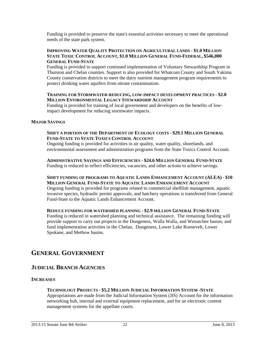Funding is provided to preserve the state's essential activities necessary to meet the operational needs of the state park system.

#### **IMPROVING WATER QUALITY PROTECTION ON AGRICULTURAL LANDS - \$1.0 MILLION STATE TOXIC CONTROL ACCOUNT, \$1.0 MILLION GENERAL FUND-FEDERAL, \$546,000 GENERAL FUND-STATE**

Funding is provided to support continued implementation of Voluntary Stewardship Program in Thurston and Chelan counties. Support is also provided for Whatcom County and South Yakima County conservation districts to meet the dairy nutrient management program requirements to protect drinking water aquifers from nitrate contamination.

#### **TRAINING FOR STORMWATER-REDUCING, LOW-IMPACT DEVELOPMENT PRACTICES - \$2.0 MILLION ENVIRONMENTAL LEGACY STEWARDSHIP ACCOUNT**

Funding is provided for training of local government and developers on the benefits of lowimpact development for reducing stormwater impacts.

#### **MAJOR SAVINGS**

#### **SHIFT A PORTION OF THE DEPARTMENT OF ECOLOGY COSTS - \$29.1 MILLION GENERAL FUND-STATE TO STATE TOXICS CONTROL ACCOUNT**

Ongoing funding is provided for activities in air quality, water quality, shorelands, and environmental assessment and administration programs from the State Toxics Control Account.

**ADMINISTRATIVE SAVINGS AND EFFICIENCIES - \$24.6 MILLION GENERAL FUND-STATE** Funding is reduced to reflect efficiencies, vacancies, and other actions to achieve savings.

#### **SHIFT FUNDING OF PROGRAMS TO AQUATIC LANDS ENHANCEMENT ACCOUNT (ALEA) - \$10 MILLION GENERAL FUND-STATE TO AQUATIC LANDS ENHANCEMENT ACCOUNT**

Ongoing funding is provided for programs related to commercial shellfish management, aquatic invasive species, hydraulic permit approvals, and hatchery operations is transferred from General Fund-State to the Aquatic Lands Enhancement Account.

#### **REDUCE FUNDING FOR WATERSHED PLANNING - \$2.9 MILLION GENERAL FUND-STATE**

Funding is reduced in watershed planning and technical assistance. The remaining funding will provide support to carry out projects in the Dungeness, Walla Walla, and Wenatchee basins; and fund implementation activities in the Chelan, Dungeness, Lower Lake Roosevelt, Lower Spokane, and Methow basins.

# **GENERAL GOVERNMENT**

#### **JUDICIAL BRANCH AGENCIES**

#### **INCREASES**

#### **TECHNOLOGY PROJECTS - \$5.2 MILLION JUDICIAL INFORMATION SYSTEM -STATE**

Appropriations are made from the Judicial Information System (JIS) Account for the information networking hub, internal and external equipment replacement, and for an electronic content management systems for the appellate courts.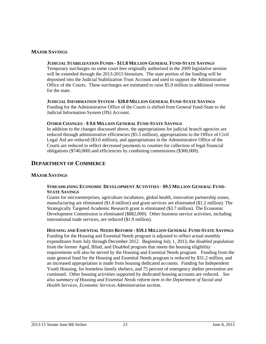#### **MAJOR SAVINGS**

#### **JUDICIAL STABILIZATION FUNDS - \$11.8 MILLION GENERAL FUND-STATE SAVINGS**

Temporary surcharges on some court fees originally authorized in the 2009 legislative session will be extended through the 2013-2015 biennium. The state portion of the funding will be deposited into the Judicial Stabilization Trust Account and used to support the Administrative Office of the Courts. These surcharges are estimated to raise \$5.9 million in additional revenue for the state.

#### **JUDICIAL INFORMATION SYSTEM - \$20.0 MILLION GENERAL FUND-STATE SAVINGS**

Funding for the Administrative Office of the Courts is shifted from General Fund-State to the Judicial Information System (JIS) Account.

#### **OTHER CHANGES - \$ 9.6 MILLION GENERAL FUND-STATE SAVINGS**

In addition to the changes discussed above, the appropriations for judicial branch agencies are reduced through administrative efficiencies (\$5.5 million), appropriations to the Office of Civil Legal Aid are reduced (\$3.0 million), and appropriations in the Administrative Office of the Courts are reduced to reflect decreased payments to counties for collection of legal financial obligations (\$740,000) and efficiencies by combining commissions (\$300,000).

#### **DEPARTMENT OF COMMERCE**

#### **MAJOR SAVINGS**

#### **STREAMLINING ECONOMIC DEVELOPMENT ACTIVITIES - \$9.5 MILLION GENERAL FUND-STATE SAVINGS**

Grants for microenterprises, agriculture incubators, global health, innovation partnership zones, manufacturing are eliminated (\$1.8 million) and grant services are eliminated (\$1.2 million). The Strategically Targeted Academic Research grant is eliminated (\$3.7 million). The Economic Development Commission is eliminated (\$882,000). Other business service activities, including international trade services, are reduced (\$1.9 million).

#### **HOUSING AND ESSENTIAL NEEDS REFORM - \$59.1 MILLION GENERAL FUND-STATE SAVINGS**

Funding for the Housing and Essential Needs program is adjusted to reflect actual monthly expenditures from July through December 2012. Beginning July 1, 2013, the disabled population from the former Aged, Blind, and Disabled program that meets the housing eligibility requirements will also be served by the Housing and Essential Needs program. Funding from the state general fund for the Housing and Essential Needs program is reduced by \$31.2 million, and an increased appropriation is made from housing dedicated accounts. Funding for Independent Youth Housing, for homeless family shelters, and 75 percent of emergency shelter prevention are continued. Other housing activities supported by dedicated housing accounts are reduced. *See also summary of Housing and Essential Needs reform item in the Department of Social and Health Services, Economic Services Administration section.*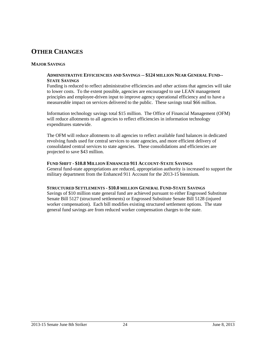# **OTHER CHANGES**

#### **MAJOR SAVINGS**

#### **ADMINISTRATIVE EFFICIENCIES AND SAVINGS -- \$124 MILLION NEAR GENERAL FUND-- STATE SAVINGS**

Funding is reduced to reflect administrative efficiencies and other actions that agencies will take to lower costs. To the extent possible, agencies are encouraged to use LEAN management principles and employee-driven input to improve agency operational efficiency and to have a measureable impact on services delivered to the public. These savings total \$66 million.

Information technology savings total \$15 million. The Office of Financial Management (OFM) will reduce allotments to all agencies to reflect efficiencies in information technology expenditures statewide.

The OFM will reduce allotments to all agencies to reflect available fund balances in dedicated revolving funds used for central services to state agencies, and more efficient delivery of consolidated central services to state agencies. These consolidations and efficiencies are projected to save \$43 million.

#### **FUND SHIFT - \$10.8 MILLION ENHANCED 911 ACCOUNT-STATE SAVINGS**

General fund-state appropriations are reduced, appropriation authority is increased to support the military department from the Enhanced 911 Account for the 2013-15 biennium.

#### **STRUCTURED SETTLEMENTS - \$10.0 MILLION GENERAL FUND-STATE SAVINGS**

Savings of \$10 million state general fund are achieved pursuant to either Engrossed Substitute Senate Bill 5127 (structured settlements) or Engrossed Substitute Senate Bill 5128 (injured worker compensation). Each bill modifies existing structured settlement options. The state general fund savings are from reduced worker compensation charges to the state.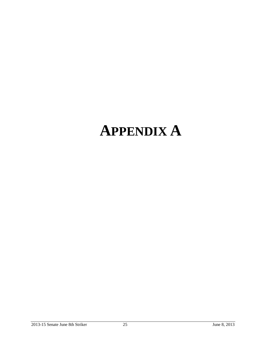# **APPENDIX A**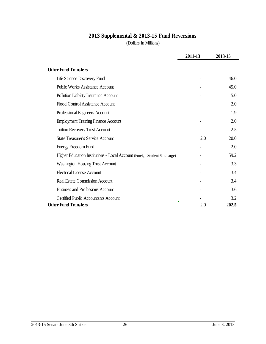# **2013 Supplemental & 2013-15 Fund Reversions**

(Dollars In Millions)

|                                                                           | 2011-13 | 2013-15 |
|---------------------------------------------------------------------------|---------|---------|
| <b>Other Fund Transfers</b>                                               |         |         |
| Life Science Discovery Fund                                               |         | 46.0    |
| <b>Public Works Assistance Account</b>                                    |         | 45.0    |
| Pollution Liability Insurance Account                                     |         | 5.0     |
| Flood Control Assistance Account                                          |         | 2.0     |
| Professional Engineers Account                                            |         | 1.9     |
| <b>Employment Training Finance Account</b>                                |         | 2.0     |
| <b>Tuition Recovery Trust Account</b>                                     |         | 2.5     |
| <b>State Treasurer's Service Account</b>                                  | 2.0     | 20.0    |
| <b>Energy Freedom Fund</b>                                                |         | 2.0     |
| Higher Education Institutions - Local Account (Foreign Student Surcharge) |         | 59.2    |
| <b>Washington Housing Trust Account</b>                                   |         | 3.3     |
| <b>Electrical License Account</b>                                         |         | 3.4     |
| <b>Real Estate Commission Account</b>                                     |         | 3.4     |
| <b>Business and Professions Account</b>                                   |         | 3.6     |
| <b>Certified Public Accountants Account</b>                               |         | 3.2     |
| <b>Other Fund Transfers</b>                                               | 2.0     | 202.5   |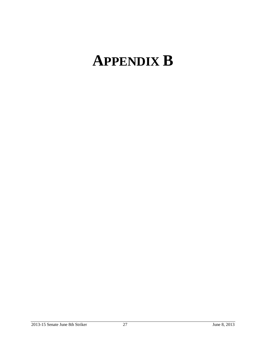# **APPENDIX B**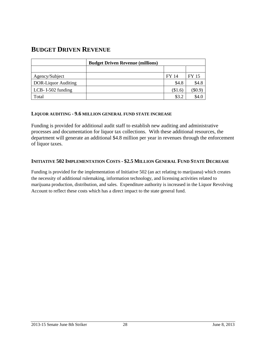# **BUDGET DRIVEN REVENUE**

|                            | <b>Budget Driven Revenue (millions)</b> |         |       |
|----------------------------|-----------------------------------------|---------|-------|
|                            |                                         |         |       |
| Agency/Subject             |                                         | FY 14   | FY 15 |
| <b>DOR-Liquor Auditing</b> |                                         | \$4.8   | \$4.8 |
| LCB-I-502 funding          |                                         | (\$1.6) | \$0.9 |
| Total                      |                                         | \$3.2   |       |

#### **LIQUOR AUDITING - 9.6 MILLION GENERAL FUND STATE INCREASE**

Funding is provided for additional audit staff to establish new auditing and administrative processes and documentation for liquor tax collections. With these additional resources, the department will generate an additional \$4.8 million per year in revenues through the enforcement of liquor taxes.

#### **INITIATIVE 502 IMPLEMENTATION COSTS - \$2.5 MILLION GENERAL FUND STATE DECREASE**

Funding is provided for the implementation of Initiative 502 (an act relating to marijuana) which creates the necessity of additional rulemaking, information technology, and licensing activities related to marijuana production, distribution, and sales. Expenditure authority is increased in the Liquor Revolving Account to reflect these costs which has a direct impact to the state general fund.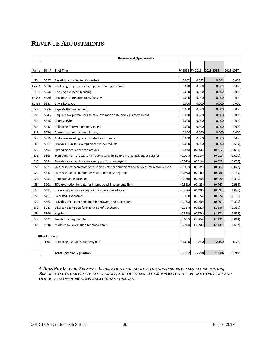# **REVENUE ADJUSTMENTS**

|             | <b>Revenue Adjustments</b> |                                                                                        |         |          |                           |           |  |  |
|-------------|----------------------------|----------------------------------------------------------------------------------------|---------|----------|---------------------------|-----------|--|--|
| Prefix      | Bill #                     | <b>Brief Title</b>                                                                     |         |          | FY 2014 FY 2015 2013-2015 | 2015-2017 |  |  |
| SB          | 5627                       | Taxation of commuter air carriers                                                      | 0.032   | 0.032    | 0.064                     | 0.068     |  |  |
| E2SSB       | 5078                       | Modifying property tax exemption for nonprofit fairs                                   | 0.000   | 0.000    | 0.000                     | 0.000     |  |  |
| <b>ESSB</b> | 5656                       | Revising business licensing                                                            | 0.000   | 0.000    | 0.000                     | 0.000     |  |  |
| E2SSB       | 5680                       | Providing information to businesses                                                    | 0.000   | 0.000    | 0.000                     | 0.000     |  |  |
| E2SSB       | 5688                       | City B&O taxes                                                                         | 0.000   | 0.000    | 0.000                     | 0.000     |  |  |
| SB          | 5806                       | Repeals the timber credit                                                              | 0.000   | 0.000    | 0.000                     | 0.000     |  |  |
| ESB         | 5843                       | Requires tax preferences to have expiration date and legislative intent                | 0.000   | 0.000    | 0.000                     | 0.000     |  |  |
| SSB         | 5418                       | <b>County Levies</b>                                                                   | 0.000   | 0.000    | 0.000                     | 0.000     |  |  |
| <b>SSB</b>  | 5442                       | Collecting deferred property taxes                                                     | 0.000   | 0.000    | 0.000                     | 0.000     |  |  |
| SSB         | 5776                       | Current Use Interest and Penalty                                                       | 0.000   | 0.000    | 0.000                     | 0.000     |  |  |
| <b>SB</b>   | 5715                       | Addresses evading taxes by electronic means                                            | 0.000   | 0.000    | 0.000                     | 0.000     |  |  |
| <b>SSB</b>  | 5561                       | Provides B&O tax exemption for dairy products                                          | 0.000   | 0.000    | 0.000                     | (0.529)   |  |  |
| SB          | 5453                       | Extending beekeeper exemptions                                                         | (0.006) | (0.006)  | (0.012)                   | (0.006)   |  |  |
| SSB         | 5865                       | Exempting from use tax certain purchases from nonprofit organizations or libraries     | (0.008) | (0.010)  | (0.018)                   | (0.020)   |  |  |
| <b>SSB</b>  | 5831                       | Provides sales and use tax exemption for clay targets                                  | (0.013) | (0.016)  | (0.029)                   | (0.035)   |  |  |
| <b>SSB</b>  | 5072                       | Sales/use tax exemption for disabled vets for equipment and services for motor vehicle | (0.027) | (0.035)  | (0.062)                   | (0.078)   |  |  |
| SB          | 5342                       | Sales/use tax exemption for restaurants flavoring food                                 | (0.038) | (0.048)  | (0.086)                   | (0.115)   |  |  |
| <b>SB</b>   | 5154                       | Cooperative Finance Org                                                                | (0.160) | (0.160)  | (0.320)                   | (0.320)   |  |  |
| SB          | 5101                       | S&U exemption for data for international investments firms                             | (0.322) | (0.425)  | (0.747)                   | (0.983)   |  |  |
| SSB         | 5613                       | Cover charges for dancing not considered retail sales                                  | (0.394) | (0.498)  | (0.892)                   | (1.071)   |  |  |
| SSB         | 5752                       | Solar B&O Extension                                                                    | 0.000   | (0.974)  | (0.974)                   | (1.151)   |  |  |
| SB          | 5862                       | Provides tax exemptions for mint growers and processors                                | (0.133) | (0.160)  | (0.293)                   | (0.320)   |  |  |
| <b>SSB</b>  | 5283                       | B&O tax exemption for Health Benefit Exchange                                          | (0.764) | (0.822)  | (1.586)                   | (0.360)   |  |  |
| SB          | 5866                       | Hog Fuel                                                                               | (0.895) | (0.976)  | (1.871)                   | (1.952)   |  |  |
| <b>SB</b>   | 5622                       | Taxation of large airplanes                                                            | (0.627) | (1.504)  | (2.131)                   | (3.014)   |  |  |
| <b>SSB</b>  | 5848                       | Modifies tax exemption for blood banks                                                 | (0.943) | (1.196)  | (2.139)                   | (2.602)   |  |  |
|             |                            |                                                                                        |         |          |                           |           |  |  |
|             | <b>Other Revenue</b>       |                                                                                        |         |          |                           |           |  |  |
|             | TBD                        | Collecting use taxes currently due                                                     | 40.600  | 1.500    | 42.100                    | 1.500     |  |  |
|             |                            | <b>Total Revenue Legislation</b>                                                       | 36.302  | $-5.298$ | 31.004                    | $-10.988$ |  |  |

*\* DOES NOT INCLUDE SEPARATE LEGISLATION DEALING WITH THE NONRESIDENT SALES TAX EXEMPTION, BRACKEN AND OTHER ESTATE TAX CHANGES, AND THE SALES TAX EXEMPTION ON TELEPHONE LAND LINES AND OTHER TELECOMMUNICATION RELATED TAX CHANGES.*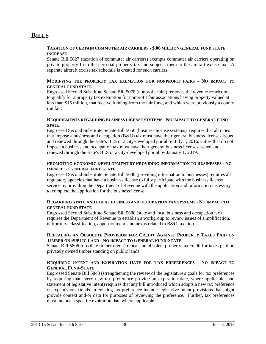# **BILLS**

#### **TAXATION OF CERTAIN COMMUTER AIR CARRIERS - \$.06 MILLION GENERAL FUND STATE INCREASE**

Senate Bill 5627 (taxation of commuter air carriers) exempts commuter air carriers operating on private property from the personal property tax and subjects them to the aircraft excise tax. A separate aircraft excise tax schedule is created for such carriers.

#### **MODIFYING THE PROPERTY TAX EXEMPTION FOR NONPROFIT FAIRS - NO IMPACT TO GENERAL FUND STATE**

Engrossed Second Substitute Senate Bill 5078 (nonprofit fairs) removes the revenue restrictions to qualify for a property tax exemption for nonprofit fair associations having property valued at less than \$15 million, that receive funding from the fair fund, and which were previously a county run fair.

#### **REQUIREMENTS REGARDING BUSINESS LICENSE SYSTEMS - NO IMPACT TO GENERAL FUND STATE**

Engrossed Second Substitute Senate Bill 5656 (business license systems) requires that all cities that impose a business and occupation (B&O) tax must have their general business licenses issued and renewed through the state's BLS or a city-developed portal by July 1, 2016. Cities that do not impose a business and occupation tax must have their general business licenses issued and renewed through the state's BLS or a city-developed portal by January 1, 2019.

#### **PROMOTING ECONOMIC DEVELOPMENT BY PROVIDING INFORMATION TO BUSINESSES - NO IMPACT TO GENERAL FUND STATE**

Engrossed Second Substitute Senate Bill 5680 (providing information to businesses) requires all regulatory agencies that have a business license to fully participate with the business license service by providing the Department of Revenue with the application and information necessary to complete the application for the business license.

#### **REGARDING STATE AND LOCAL BUSINESS AND OCCUPATION TAX SYSTEMS - NO IMPACT TO GENERAL FUND STATE**

Engrossed Second Substitute Senate Bill 5688 (state and local business and occupation tax) requires the Department of Revenue to establish a workgroup to review issues of simplification, uniformity, classification, apportionment, and nexus related to B&O taxation.

#### **REPEALING AN OBSOLETE PROVISION FOR CREDIT AGAINST PROPERTY TAXES PAID ON TIMBER ON PUBLIC LAND - NO IMPACT TO GENERAL FUND-STATE**

Senate Bill 5806 (obsolete timber credit) repeals an obsolete property tax credit for taxes paid on privately owned timber standing on public lands.

#### **REQUIRING INTENT AND EXPIRATION DATE FOR TAX PREFERENCES - NO IMPACT TO GENERAL FUND-STATE**

Engrossed Senate Bill 5843 (strengthening the review of the legislature's goals for tax preferences by requiring that every new tax preference provide an expiration date, where applicable, and statement of legislative intent) requires that any bill introduced which adopts a new tax preference or expands or extends an existing tax preference include legislative intent provisions that might provide context and/or data for purposes of reviewing the preference. Further, tax preferences must include a specific expiration date where applicable.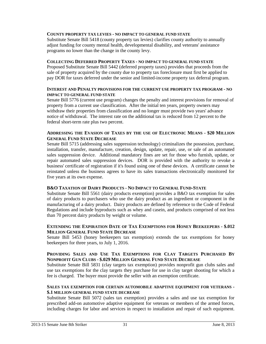#### **COUNTY PROPERTY TAX LEVIES - NO IMPACT TO GENERAL FUND STATE**

Substitute Senate Bill 5418 (county property tax levies) clarifies county authority to annually adjust funding for county mental health, developmental disability, and veterans' assistance programs no lower than the change in the county levy.

#### **COLLECTING DEFERRED PROPERTY TAXES - NO IMPACT TO GENERAL FUND STATE**

Proposed Substitute Senate Bill 5442 (deferred property taxes) provides that proceeds from the sale of property acquired by the county due to property tax foreclosure must first be applied to pay DOR for taxes deferred under the senior and limited-income property tax deferral program.

#### **INTEREST AND PENALTY PROVISIONS FOR THE CURRENT USE PROPERTY TAX PROGRAM - NO IMPACT TO GENERAL FUND STATE**

Senate Bill 5776 (current use program) changes the penalty and interest provisions for removal of property from a current use classification. After the initial ten years, property owners may withdraw their properties from classification and no longer must provide two years' advance notice of withdrawal. The interest rate on the additional tax is reduced from 12 percent to the federal short-term rate plus two percent.

#### **ADDRESSING THE EVASION OF TAXES BY THE USE OF ELECTRONIC MEANS - \$20 MILLION GENERAL FUND STATE DECREASE**

Senate Bill 5715 (addressing sales suppression technology) criminalizes the possession, purchase, installation, transfer, manufacture, creation, design, update, repair, use, or sale of an automated sales suppression device. Additional mandatory fines are set for those who furnish, update, or repair automated sales suppression devices. DOR is provided with the authority to revoke a business' certificate of registration if it's found using one of these devices. A certificate cannot be reinstated unless the business agrees to have its sales transactions electronically monitored for five years at its own expense.

#### **B&O TAXATION OF DAIRY PRODUCTS - NO IMPACT TO GENERAL FUND-STATE**

Substitute Senate Bill 5561 (dairy products exemption) provides a B&O tax exemption for sales of dairy products to purchasers who use the dairy product as an ingredient or component in the manufacturing of a dairy product. Dairy products are defined by reference to the Code of Federal Regulations and include byproducts such as whey and casein, and products comprised of not less than 70 percent dairy products by weight or volume.

#### **EXTENDING THE EXPIRATION DATE OF TAX EXEMPTIONS FOR HONEY BEEKEEPERS - \$.012 MILLION GENERAL FUND STATE DECREASE**

Senate Bill 5453 (honey beekeepers tax exemption) extends the tax exemptions for honey beekeepers for three years, to July 1, 2016.

#### **PROVIDING SALES AND USE TAX EXEMPTIONS FOR CLAY TARGETS PURCHASED BY NONPROFIT GUN CLUBS - \$.029 MILLION GENERAL FUND STATE DECREASE**

Substitute Senate Bill 5831 (clay targets tax exemption) provides nonprofit gun clubs sales and use tax exemptions for the clay targets they purchase for use in clay target shooting for which a fee is charged. The buyer must provide the seller with an exemption certificate.

#### **SALES TAX EXEMPTION FOR CERTAIN AUTOMOBILE ADAPTIVE EQUIPMENT FOR VETERANS - \$.1 MILLION GENERAL FUND STATE DECREASE**

Substitute Senate Bill 5072 (sales tax exemption) provides a sales and use tax exemption for prescribed add-on automotive adaptive equipment for veterans or members of the armed forces, including charges for labor and services in respect to installation and repair of such equipment.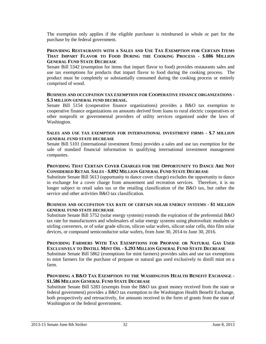The exemption only applies if the eligible purchaser is reimbursed in whole or part for the purchase by the federal government.

#### **PROVIDING RESTAURANTS WITH A SALES AND USE TAX EXEMPTION FOR CERTAIN ITEMS THAT IMPART FLAVOR TO FOOD DURING THE COOKING PROCESS - \$.086 MILLION GENERAL FUND STATE DECREASE**

Senate Bill 5342 (exemption for items that impart flavor to food) provides restaurants sales and use tax exemptions for products that impart flavor to food during the cooking process. The product must be completely or substantially consumed during the cooking process or entirely comprised of wood.

#### **BUSINESS AND OCCUPATION TAX EXEMPTION FOR COOPERATIVE FINANCE ORGANIZATIONS - \$.3 MILLION GENERAL FUND DECREASE.**

Senate Bill 5154 (cooperative finance organizations) provides a B&O tax exemption to cooperative finance organizations on amounts derived from loans to rural electric cooperatives or other nonprofit or governmental providers of utility services organized under the laws of Washington.

#### **SALES AND USE TAX EXEMPTION FOR INTERNATIONAL INVESTMENT FIRMS - \$.7 MILLION GENERAL FUND STATE DECREASE**

Senate Bill 5101 (international investment firms) provides a sales and use tax exemption for the sale of standard financial information to qualifying international investment management companies.

#### **PROVIDING THAT CERTAIN COVER CHARGES FOR THE OPPORTUNITY TO DANCE ARE NOT CONSIDERED RETAIL SALES - \$.892 MILLION GENERAL FUND STATE DECREASE**

Substitute Senate Bill 5613 (opportunity to dance cover charge) excludes the opportunity to dance in exchange for a cover charge from amusement and recreation services. Therefore, it is no longer subject to retail sales tax or the retailing classification of the B&O tax, but rather the service and other activities B&O tax classification.

#### **BUSINESS AND OCCUPATION TAX RATE OF CERTAIN SOLAR ENERGY SYSTEMS - \$1 MILLION GENERAL FUND STATE DECREASE**

Substitute Senate Bill 5752 (solar energy systems) extends the expiration of the preferential B&O tax rate for manufacturers and wholesalers of solar energy systems using photovoltaic modules or stirling converters, or of solar grade silicon, silicon solar wafers, silicon solar cells, thin film solar devices, or compound semiconductor solar wafers, from June 30, 2014 to June 30, 2016.

#### **PROVIDING FARMERS WITH TAX EXEMPTIONS FOR PROPANE OR NATURAL GAS USED EXCLUSIVELY TO DISTILL MINT OIL - \$.293 MILLION GENERAL FUND STATE DECREASE**

Substitute Senate Bill 5862 (exemptions for mint farmers) provides sales and use tax exemptions to mint farmers for the purchase of propane or natural gas used exclusively to distill mint on a farm.

#### **PROVIDING A B&O TAX EXEMPTION TO THE WASHINGTON HEALTH BENEFIT EXCHANGE - \$1.586 MILLION GENERAL FUND STATE DECREASE**

Substitute Senate Bill 5283 (exempts from the B&O tax grant money received from the state or federal government) provides a B&O tax exemption to the Washington Health Benefit Exchange, both prospectively and retroactively, for amounts received in the form of grants from the state of Washington or the federal government.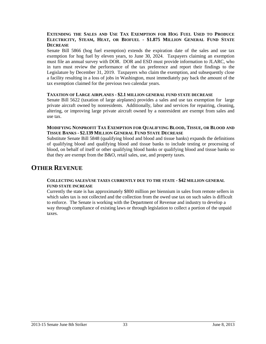#### **EXTENDING THE SALES AND USE TAX EXEMPTION FOR HOG FUEL USED TO PRODUCE**  ELECTRICITY, STEAM, HEAT, OR BIOFUEL - \$1.875 MILLION GENERAL FUND STATE **DECREASE**

Senate Bill 5866 (hog fuel exemption) extends the expiration date of the sales and use tax exemption for hog fuel by eleven years, to June 30, 2024. Taxpayers claiming an exemption must file an annual survey with DOR. DOR and ESD must provide information to JLARC, who in turn must review the performance of the tax preference and report their findings to the Legislature by December 31, 2019. Taxpayers who claim the exemption, and subsequently close a facility resulting in a loss of jobs in Washington, must immediately pay back the amount of the tax exemption claimed for the previous two calendar years.

#### **TAXATION OF LARGE AIRPLANES - \$2.1 MILLION GENERAL FUND STATE DECREASE**

Senate Bill 5622 (taxation of large airplanes) provides a sales and use tax exemption for large private aircraft owned by nonresidents. Additionally, labor and services for repairing, cleaning, altering, or improving large private aircraft owned by a nonresident are exempt from sales and use tax.

#### **MODIFYING NONPROFIT TAX EXEMPTION FOR QUALIFYING BLOOD, TISSUE, OR BLOOD AND TISSUE BANKS - \$2.139 MILLION GENERAL FUND STATE DECREASE**

Substitute Senate Bill 5848 (qualifying blood and blood and tissue banks) expands the definitions of qualifying blood and qualifying blood and tissue banks to include testing or processing of blood, on behalf of itself or other qualifying blood banks or qualifying blood and tissue banks so that they are exempt from the B&O, retail sales, use, and property taxes.

### **OTHER REVENUE**

#### **COLLECTING SALES/USE TAXES CURRENTLY DUE TO THE STATE - \$42 MILLION GENERAL FUND STATE INCREASE**

Currently the state is has approximately \$800 million per biennium in sales from remote sellers in which sales tax is not collected and the collection from the owed use tax on such sales is difficult to enforce. The Senate is working with the Department of Revenue and industry to develop a way through compliance of existing laws or through legislation to collect a portion of the unpaid taxes.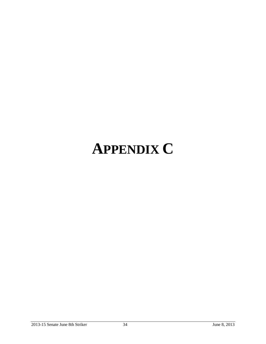# **APPENDIX C**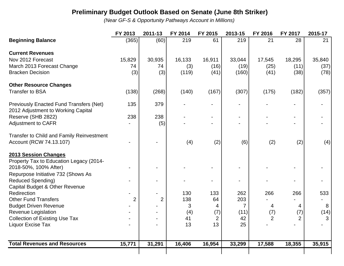# **Preliminary Budget Outlook Based on Senate (June 8th Striker)**

*(Near GF-S & Opportunity Pathways Account in Millions)*

|                                                                                      | FY 2013        | 2011-13        | FY 2014 | FY 2015        | 2013-15        | FY 2016        | FY 2017 | 2015-17 |
|--------------------------------------------------------------------------------------|----------------|----------------|---------|----------------|----------------|----------------|---------|---------|
| <b>Beginning Balance</b>                                                             | (365)          | (60)           | 219     | 61             | 219            | 21             | 28      | 21      |
| <b>Current Revenues</b>                                                              |                |                |         |                |                |                |         |         |
| Nov 2012 Forecast                                                                    | 15,829         | 30,935         | 16,133  | 16,911         | 33,044         | 17,545         | 18,295  | 35,840  |
| March 2013 Forecast Change                                                           | 74             | 74             | (3)     | (16)           | (19)           | (25)           | (11)    | (37)    |
| <b>Bracken Decision</b>                                                              | (3)            | (3)            | (119)   | (41)           | (160)          | (41)           | (38)    | (78)    |
| <b>Other Resource Changes</b>                                                        |                |                |         |                |                |                |         |         |
| <b>Transfer to BSA</b>                                                               | (138)          | (268)          | (140)   | (167)          | (307)          | (175)          | (182)   | (357)   |
| <b>Previously Enacted Fund Transfers (Net)</b><br>2012 Adjustment to Working Capital | 135            | 379            |         | $\blacksquare$ |                |                |         |         |
| Reserve (SHB 2822)                                                                   | 238            | 238            |         |                |                |                |         |         |
| <b>Adjustment to CAFR</b>                                                            |                | (5)            |         |                |                |                |         |         |
| <b>Transfer to Child and Family Reinvestment</b>                                     |                |                |         |                |                |                |         |         |
| Account (RCW 74.13.107)                                                              |                |                | (4)     | (2)            | (6)            | (2)            | (2)     | (4)     |
| 2013 Session Changes                                                                 |                |                |         |                |                |                |         |         |
| Property Tax to Education Legacy (2014-                                              |                |                |         |                |                |                |         |         |
| 2018-50%, 100% After)                                                                |                |                |         |                |                |                |         |         |
| Repurpose Initiative 732 (Shows As                                                   |                |                |         |                |                |                |         |         |
| <b>Reduced Spending)</b>                                                             |                |                |         |                |                |                |         |         |
| Capital Budget & Other Revenue                                                       |                |                |         |                |                |                |         |         |
| Redirection                                                                          |                |                | 130     | 133            | 262            | 266            | 266     | 533     |
| <b>Other Fund Transfers</b>                                                          | $\overline{2}$ | $\overline{2}$ | 138     | 64             | 203            |                |         |         |
| <b>Budget Driven Revenue</b>                                                         |                |                | 3       | 4              | $\overline{7}$ | 4              | 4       | 8       |
| Revenue Legislation                                                                  |                |                | (4)     | (7)            | (11)           | (7)            | (7)     | (14)    |
| <b>Collection of Existing Use Tax</b>                                                |                |                | 41      | $\overline{2}$ | 42             | $\overline{2}$ | 2       | 3       |
| Liquor Excise Tax                                                                    |                |                | 13      | 13             | 25             |                |         |         |
| <b>Total Revenues and Resources</b>                                                  | 15,771         | 31,291         | 16,406  | 16,954         | 33,299         | 17,588         | 18,355  | 35,915  |
|                                                                                      |                |                |         |                |                |                |         |         |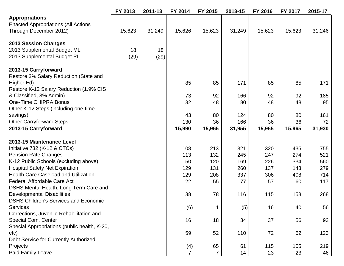|                                              | FY 2013 | 2011-13 | FY 2014        | FY 2015   | 2013-15 | FY 2016   | FY 2017   | 2015-17 |
|----------------------------------------------|---------|---------|----------------|-----------|---------|-----------|-----------|---------|
| <b>Appropriations</b>                        |         |         |                |           |         |           |           |         |
| <b>Enacted Appropriations (All Actions</b>   |         |         |                |           |         |           |           |         |
| Through December 2012)                       | 15,623  | 31,249  | 15,626         | 15,623    | 31,249  | 15,623    | 15,623    | 31,246  |
| 2013 Session Changes                         |         |         |                |           |         |           |           |         |
| 2013 Supplemental Budget ML                  | 18      | 18      |                |           |         |           |           |         |
| 2013 Supplemental Budget PL                  | (29)    | (29)    |                |           |         |           |           |         |
|                                              |         |         |                |           |         |           |           |         |
| 2013-15 Carryforward                         |         |         |                |           |         |           |           |         |
| Restore 3% Salary Reduction (State and       |         |         |                |           |         |           |           |         |
| Higher Ed)                                   |         |         | 85             | 85        | 171     | 85        | 85        | 171     |
| Restore K-12 Salary Reduction (1.9% CIS      |         |         |                |           |         |           |           |         |
| & Classified, 3% Admin)                      |         |         | 73             | 92        | 166     | 92        | 92        | 185     |
| One-Time CHIPRA Bonus                        |         |         | 32             | 48        | 80      | 48        | 48        | 95      |
| Other K-12 Steps (including one-time         |         |         |                |           |         |           |           |         |
| savings)                                     |         |         | 43             | 80        | 124     | 80        | 80        | 161     |
| <b>Other Carryforward Steps</b>              |         |         | 130            | 36        | 166     | 36        | 36        | 72      |
| 2013-15 Carryforward                         |         |         | 15,990         | 15,965    | 31,955  | 15,965    | 15,965    | 31,930  |
| 2013-15 Maintenance Level                    |         |         |                |           |         |           |           |         |
| Initiative 732 (K-12 & CTCs)                 |         |         | 108            | 213       | 321     | 320       | 435       | 755     |
| <b>Pension Rate Changes</b>                  |         |         | 113            | 132       | 245     | 247       | 274       | 521     |
| K-12 Public Schools (excluding above)        |         |         | 50             | 120       | 169     | 226       | 334       | 560     |
| <b>Hospital Safety Net Expiration</b>        |         |         | 129            | 131       | 260     | 137       | 143       | 279     |
| <b>Health Care Caseload and Utilization</b>  |         |         |                |           | 337     |           |           | 714     |
| Federal Affordable Care Act                  |         |         | 129<br>22      | 208<br>55 | 77      | 306<br>57 | 408<br>60 | 117     |
| DSHS Mental Health, Long Term Care and       |         |         |                |           |         |           |           |         |
| <b>Developmental Disabilities</b>            |         |         | 38             | 78        | 116     | 115       | 153       | 268     |
| <b>DSHS Children's Services and Economic</b> |         |         |                |           |         |           |           |         |
| <b>Services</b>                              |         |         | (6)            | 1         | (5)     | 16        | 40        | 56      |
| Corrections, Juvenile Rehabilitation and     |         |         |                |           |         |           |           |         |
| Special Com. Center                          |         |         | 16             | 18        | 34      | 37        | 56        | 93      |
| Special Appropriations (public health, K-20, |         |         |                |           |         |           |           |         |
| etc)                                         |         |         | 59             | 52        | 110     | 72        | 52        | 123     |
| Debt Service for Currently Authorized        |         |         |                |           |         |           |           |         |
| Projects                                     |         |         | (4)            | 65        | 61      | 115       | 105       | 219     |
|                                              |         |         | $\overline{7}$ |           |         |           |           | 46      |
| Paid Family Leave                            |         |         |                | 7         | 14      | 23        | 23        |         |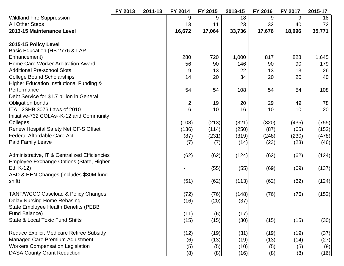|                                                     | FY 2013 | 2011-13 | FY 2014        | FY 2015 | 2013-15 | FY 2016 | FY 2017        | 2015-17 |
|-----------------------------------------------------|---------|---------|----------------|---------|---------|---------|----------------|---------|
| <b>Wildland Fire Suppression</b>                    |         |         | 9              | 9       | 18      | 9       | 9              | 18      |
| <b>All Other Steps</b>                              |         |         | 13             | 11      | 23      | 32      | 40             | 72      |
| 2013-15 Maintenance Level                           |         |         | 16,672         | 17,064  | 33,736  | 17,676  | 18,096         | 35,771  |
| 2015-15 Policy Level                                |         |         |                |         |         |         |                |         |
| Basic Education (HB 2776 & LAP                      |         |         |                |         |         |         |                |         |
| Enhancement)                                        |         |         | 280            | 720     | 1,000   | 817     | 828            | 1,645   |
| Home Care Worker Arbitration Award                  |         |         | 56             | 90      | 146     | 90      | 90             | 179     |
| <b>Additional Pre-school Slots</b>                  |         |         | 9              | 13      | 22      | 13      | 13             | 26      |
| <b>College Bound Scholarships</b>                   |         |         | 14             | 20      | 34      | 20      | 20             | 40      |
| <b>Higher Education Institutional Funding &amp;</b> |         |         |                |         |         |         |                |         |
| Performance                                         |         |         | 54             | 54      | 108     | 54      | 54             | 108     |
| Debt Service for \$1.7 billion in General           |         |         |                |         |         |         |                |         |
| <b>Obligation bonds</b>                             |         |         | $\overline{2}$ | 19      | 20      | 29      | 49             | 78      |
| ITA - 2SHB 3076 Laws of 2010                        |         |         | 6              | 10      | 16      | 10      | 10             | 20      |
| Initiative-732 COLAs--K-12 and Community            |         |         |                |         |         |         |                |         |
| Colleges                                            |         |         | (108)          | (213)   | (321)   | (320)   | (435)          | (755)   |
| Renew Hospital Safety Net GF-S Offset               |         |         | (136)          | (114)   | (250)   | (87)    | (65)           | (152)   |
| Federal Affordable Care Act                         |         |         | (87)           | (231)   | (319)   | (248)   | (230)          | (478)   |
| <b>Paid Family Leave</b>                            |         |         | (7)            | (7)     | (14)    | (23)    | (23)           | (46)    |
| Administrative, IT & Centralized Efficiencies       |         |         | (62)           | (62)    | (124)   | (62)    | (62)           | (124)   |
| Employee Exchange Options (State, Higher            |         |         |                |         |         |         |                |         |
| Ed, K-12)                                           |         |         |                | (55)    | (55)    | (69)    | (69)           | (137)   |
| ABD & HEN Changes (includes \$30M fund              |         |         |                |         |         |         |                |         |
| shift)                                              |         |         | (51)           | (62)    | (113)   | (62)    | (62)           | (124)   |
| <b>TANF/WCCC Caseload &amp; Policy Changes</b>      |         |         | (72)           | (76)    | (148)   | (76)    | (76)           | (152)   |
| Delay Nursing Home Rebasing                         |         |         | (16)           | (20)    | (37)    |         |                |         |
| <b>State Employee Health Benefits (PEBB</b>         |         |         |                |         |         |         |                |         |
| Fund Balance)                                       |         |         | (11)           | (6)     | (17)    |         | $\blacksquare$ |         |
| <b>State &amp; Local Toxic Fund Shifts</b>          |         |         | (15)           | (15)    | (30)    | (15)    | (15)           | (30)    |
| <b>Reduce Explicit Medicare Retiree Subsidy</b>     |         |         | (12)           | (19)    | (31)    | (19)    | (19)           | (37)    |
| Managed Care Premium Adjustment                     |         |         | (6)            | (13)    | (19)    | (13)    | (14)           | (27)    |
| <b>Workers Compensation Legislation</b>             |         |         | (5)            | (5)     | (10)    | (5)     | (5)            | (9)     |
| <b>DASA County Grant Reduction</b>                  |         |         | (8)            | (8)     | (16)    | (8)     | (8)            | (16)    |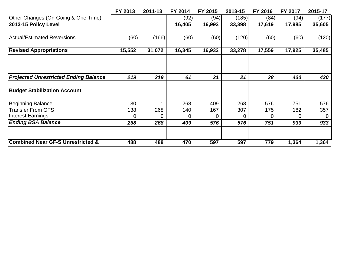|                                              | FY 2013 | 2011-13 | FY 2014 | FY 2015 | 2013-15 | FY 2016 | FY 2017 | 2015-17  |
|----------------------------------------------|---------|---------|---------|---------|---------|---------|---------|----------|
| Other Changes (On-Going & One-Time)          |         |         | (92)    | (94)    | (185)   | (84)    | (94)    | (177)    |
| 2013-15 Policy Level                         |         |         | 16,405  | 16,993  | 33,398  | 17,619  | 17,985  | 35,605   |
| <b>Actual/Estimated Reversions</b>           | (60)    | (166)   | (60)    | (60)    | (120)   | (60)    | (60)    | (120)    |
| <b>Revised Appropriations</b>                | 15,552  | 31,072  | 16,345  | 16,933  | 33,278  | 17,559  | 17,925  | 35,485   |
|                                              |         |         |         |         |         |         |         |          |
| <b>Projected Unrestricted Ending Balance</b> | 219     | 219     | 61      | 21      | 21      | 28      | 430     | 430      |
| <b>Budget Stabilization Account</b>          |         |         |         |         |         |         |         |          |
| <b>Beginning Balance</b>                     | 130     |         | 268     | 409     | 268     | 576     | 751     | 576      |
| <b>Transfer From GFS</b>                     | 138     | 268     | 140     | 167     | 307     | 175     | 182     | 357      |
| <b>Interest Earnings</b>                     | 0       |         | 0       | 0       |         | 0       |         | $\Omega$ |
| <b>Ending BSA Balance</b>                    | 268     | 268     | 409     | 576     | 576     | 751     | 933     | 933      |
|                                              |         |         |         |         |         |         |         |          |
| <b>Combined Near GF-S Unrestricted &amp;</b> | 488     | 488     | 470     | 597     | 597     | 779     | 1,364   | 1,364    |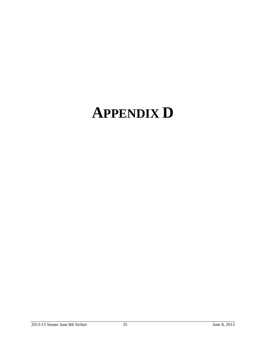# **APPENDIX D**